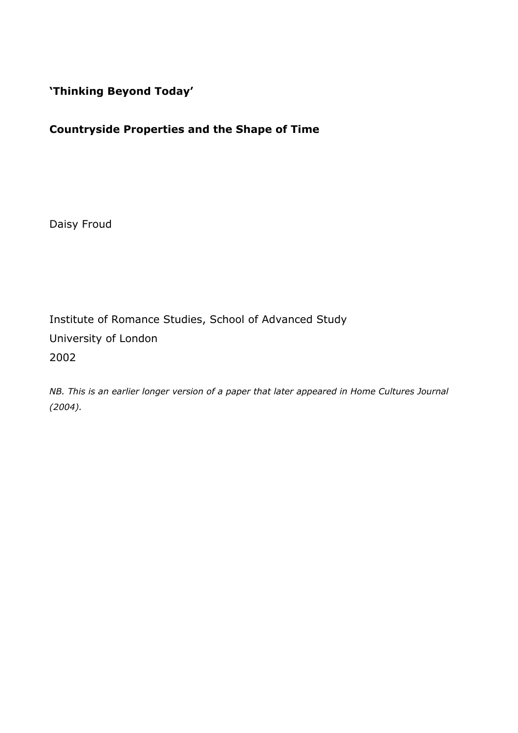**'Thinking Beyond Today'**

# **Countryside Properties and the Shape of Time**

Daisy Froud

Institute of Romance Studies, School of Advanced Study University of London 2002

*NB. This is an earlier longer version of a paper that later appeared in Home Cultures Journal (2004).*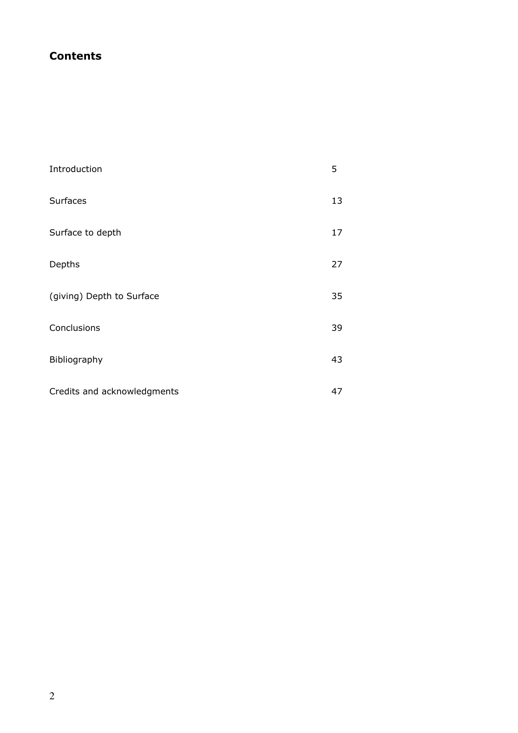# **Contents**

| Introduction                | 5  |
|-----------------------------|----|
| <b>Surfaces</b>             | 13 |
| Surface to depth            | 17 |
| Depths                      | 27 |
| (giving) Depth to Surface   | 35 |
| Conclusions                 | 39 |
| Bibliography                | 43 |
| Credits and acknowledgments | 47 |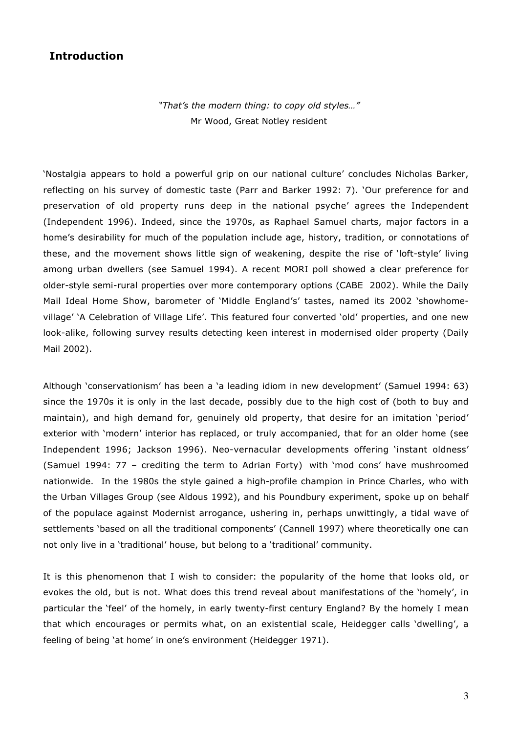## **Introduction**

*"That's the modern thing: to copy old styles…"* Mr Wood, Great Notley resident

'Nostalgia appears to hold a powerful grip on our national culture' concludes Nicholas Barker, reflecting on his survey of domestic taste (Parr and Barker 1992: 7). 'Our preference for and preservation of old property runs deep in the national psyche' agrees the Independent (Independent 1996). Indeed, since the 1970s, as Raphael Samuel charts, major factors in a home's desirability for much of the population include age, history, tradition, or connotations of these, and the movement shows little sign of weakening, despite the rise of 'loft-style' living among urban dwellers (see Samuel 1994). A recent MORI poll showed a clear preference for older-style semi-rural properties over more contemporary options (CABE 2002). While the Daily Mail Ideal Home Show, barometer of 'Middle England's' tastes, named its 2002 'showhomevillage' 'A Celebration of Village Life'. This featured four converted 'old' properties, and one new look-alike, following survey results detecting keen interest in modernised older property (Daily Mail 2002).

Although 'conservationism' has been a 'a leading idiom in new development' (Samuel 1994: 63) since the 1970s it is only in the last decade, possibly due to the high cost of (both to buy and maintain), and high demand for, genuinely old property, that desire for an imitation 'period' exterior with 'modern' interior has replaced, or truly accompanied, that for an older home (see Independent 1996; Jackson 1996). Neo-vernacular developments offering 'instant oldness' (Samuel 1994: 77 – crediting the term to Adrian Forty) with 'mod cons' have mushroomed nationwide. In the 1980s the style gained a high-profile champion in Prince Charles, who with the Urban Villages Group (see Aldous 1992), and his Poundbury experiment, spoke up on behalf of the populace against Modernist arrogance, ushering in, perhaps unwittingly, a tidal wave of settlements 'based on all the traditional components' (Cannell 1997) where theoretically one can not only live in a 'traditional' house, but belong to a 'traditional' community.

It is this phenomenon that I wish to consider: the popularity of the home that looks old, or evokes the old, but is not. What does this trend reveal about manifestations of the 'homely', in particular the 'feel' of the homely, in early twenty-first century England? By the homely I mean that which encourages or permits what, on an existential scale, Heidegger calls 'dwelling', a feeling of being 'at home' in one's environment (Heidegger 1971).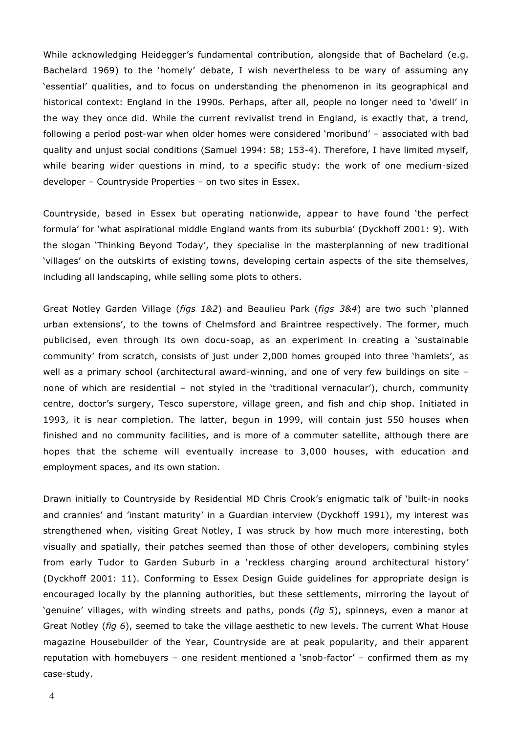While acknowledging Heidegger's fundamental contribution, alongside that of Bachelard (e.g. Bachelard 1969) to the 'homely' debate, I wish nevertheless to be wary of assuming any 'essential' qualities, and to focus on understanding the phenomenon in its geographical and historical context: England in the 1990s. Perhaps, after all, people no longer need to 'dwell' in the way they once did. While the current revivalist trend in England, is exactly that, a trend, following a period post-war when older homes were considered 'moribund' – associated with bad quality and unjust social conditions (Samuel 1994: 58; 153-4). Therefore, I have limited myself, while bearing wider questions in mind, to a specific study: the work of one medium-sized developer – Countryside Properties – on two sites in Essex.

Countryside, based in Essex but operating nationwide, appear to have found 'the perfect formula' for 'what aspirational middle England wants from its suburbia' (Dyckhoff 2001: 9). With the slogan 'Thinking Beyond Today', they specialise in the masterplanning of new traditional 'villages' on the outskirts of existing towns, developing certain aspects of the site themselves, including all landscaping, while selling some plots to others.

Great Notley Garden Village (*figs 1&2*) and Beaulieu Park (*figs 3&4*) are two such 'planned urban extensions', to the towns of Chelmsford and Braintree respectively. The former, much publicised, even through its own docu-soap, as an experiment in creating a 'sustainable community' from scratch, consists of just under 2,000 homes grouped into three 'hamlets', as well as a primary school (architectural award-winning, and one of very few buildings on site none of which are residential – not styled in the 'traditional vernacular'), church, community centre, doctor's surgery, Tesco superstore, village green, and fish and chip shop. Initiated in 1993, it is near completion. The latter, begun in 1999, will contain just 550 houses when finished and no community facilities, and is more of a commuter satellite, although there are hopes that the scheme will eventually increase to 3,000 houses, with education and employment spaces, and its own station.

Drawn initially to Countryside by Residential MD Chris Crook's enigmatic talk of 'built-in nooks and crannies' and 'instant maturity' in a Guardian interview (Dyckhoff 1991), my interest was strengthened when, visiting Great Notley, I was struck by how much more interesting, both visually and spatially, their patches seemed than those of other developers, combining styles from early Tudor to Garden Suburb in a 'reckless charging around architectural history' (Dyckhoff 2001: 11). Conforming to Essex Design Guide guidelines for appropriate design is encouraged locally by the planning authorities, but these settlements, mirroring the layout of 'genuine' villages, with winding streets and paths, ponds (*fig 5*), spinneys, even a manor at Great Notley (*fig 6*), seemed to take the village aesthetic to new levels. The current What House magazine Housebuilder of the Year, Countryside are at peak popularity, and their apparent reputation with homebuyers – one resident mentioned a 'snob-factor' – confirmed them as my case-study.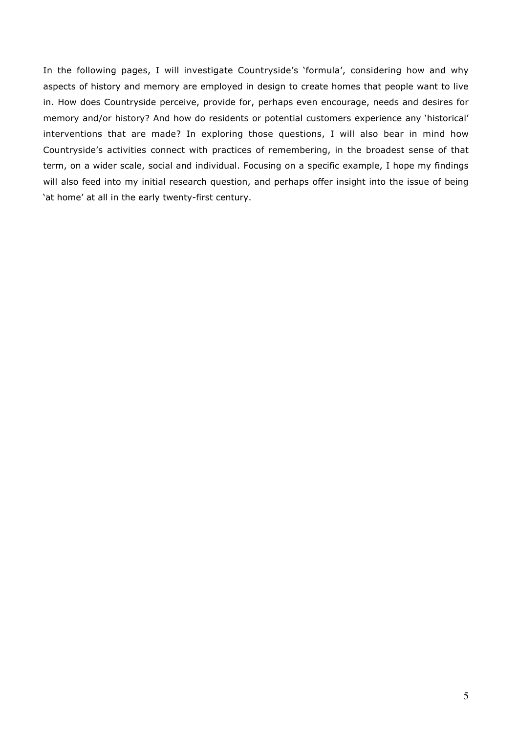In the following pages, I will investigate Countryside's 'formula', considering how and why aspects of history and memory are employed in design to create homes that people want to live in. How does Countryside perceive, provide for, perhaps even encourage, needs and desires for memory and/or history? And how do residents or potential customers experience any 'historical' interventions that are made? In exploring those questions, I will also bear in mind how Countryside's activities connect with practices of remembering, in the broadest sense of that term, on a wider scale, social and individual. Focusing on a specific example, I hope my findings will also feed into my initial research question, and perhaps offer insight into the issue of being 'at home' at all in the early twenty-first century.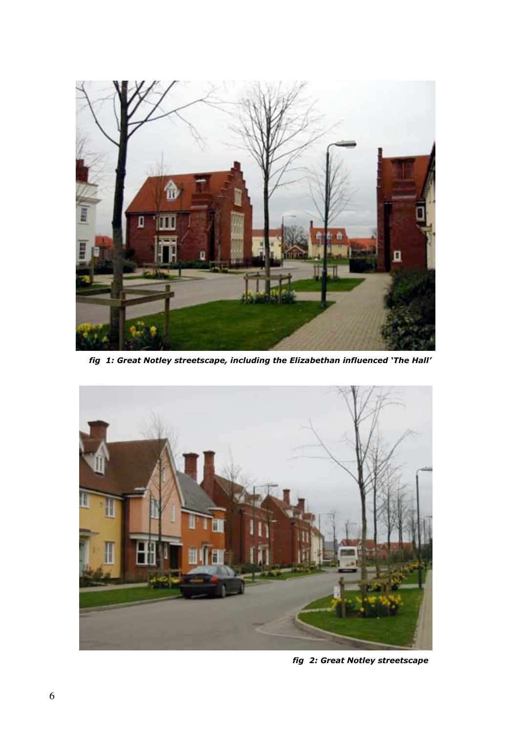

 *fig 1: Great Notley streetscape, including the Elizabethan influenced 'The Hall'*



 *fig 2: Great Notley streetscape*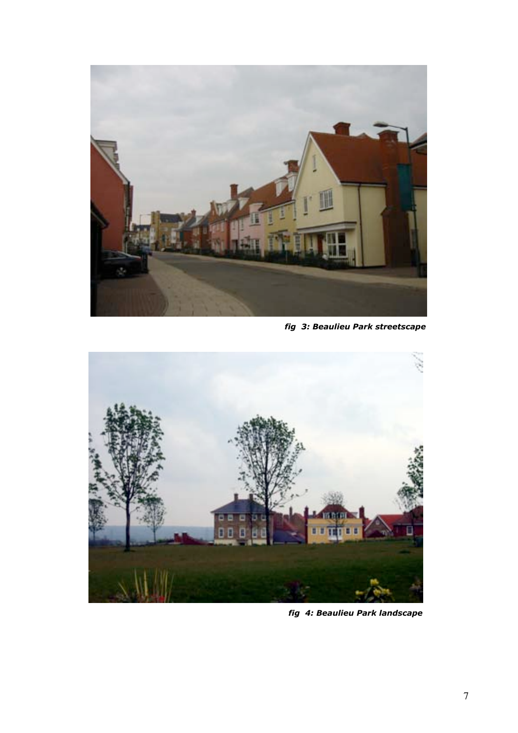

 *fig 3: Beaulieu Park streetscape*



 *fig 4: Beaulieu Park landscape*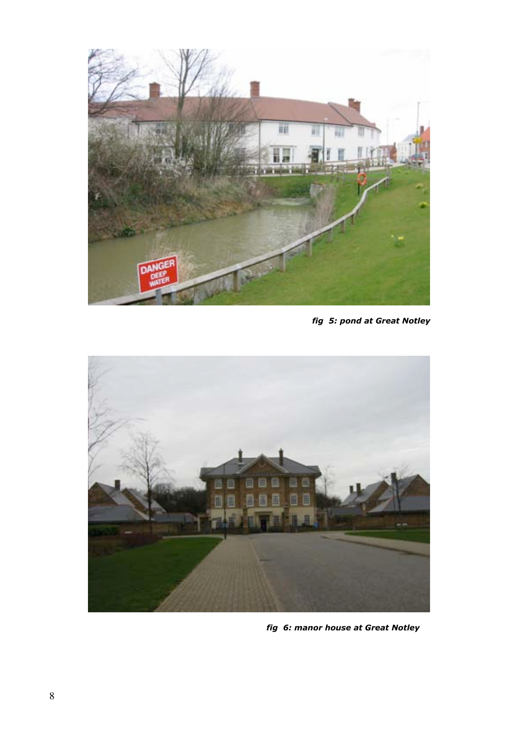

 *fig 5: pond at Great Notley*



 *fig 6: manor house at Great Notley*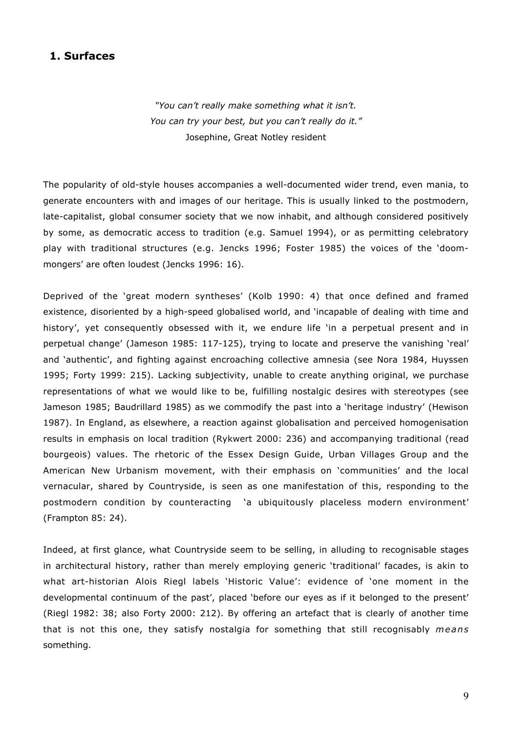### **1. Surfaces**

*"You can't really make something what it isn't. You can try your best, but you can't really do it."* Josephine, Great Notley resident

The popularity of old-style houses accompanies a well-documented wider trend, even mania, to generate encounters with and images of our heritage. This is usually linked to the postmodern, late-capitalist, global consumer society that we now inhabit, and although considered positively by some, as democratic access to tradition (e.g. Samuel 1994), or as permitting celebratory play with traditional structures (e.g. Jencks 1996; Foster 1985) the voices of the 'doommongers' are often loudest (Jencks 1996: 16).

Deprived of the 'great modern syntheses' (Kolb 1990: 4) that once defined and framed existence, disoriented by a high-speed globalised world, and 'incapable of dealing with time and history', yet consequently obsessed with it, we endure life 'in a perpetual present and in perpetual change' (Jameson 1985: 117-125), trying to locate and preserve the vanishing 'real' and 'authentic', and fighting against encroaching collective amnesia (see Nora 1984, Huyssen 1995; Forty 1999: 215). Lacking subjectivity, unable to create anything original, we purchase representations of what we would like to be, fulfilling nostalgic desires with stereotypes (see Jameson 1985; Baudrillard 1985) as we commodify the past into a 'heritage industry' (Hewison 1987). In England, as elsewhere, a reaction against globalisation and perceived homogenisation results in emphasis on local tradition (Rykwert 2000: 236) and accompanying traditional (read bourgeois) values. The rhetoric of the Essex Design Guide, Urban Villages Group and the American New Urbanism movement, with their emphasis on 'communities' and the local vernacular, shared by Countryside, is seen as one manifestation of this, responding to the postmodern condition by counteracting 'a ubiquitously placeless modern environment' (Frampton 85: 24).

Indeed, at first glance, what Countryside seem to be selling, in alluding to recognisable stages in architectural history, rather than merely employing generic 'traditional' facades, is akin to what art-historian Alois Riegl labels 'Historic Value': evidence of 'one moment in the developmental continuum of the past', placed 'before our eyes as if it belonged to the present' (Riegl 1982: 38; also Forty 2000: 212). By offering an artefact that is clearly of another time that is not this one, they satisfy nostalgia for something that still recognisably *means* something.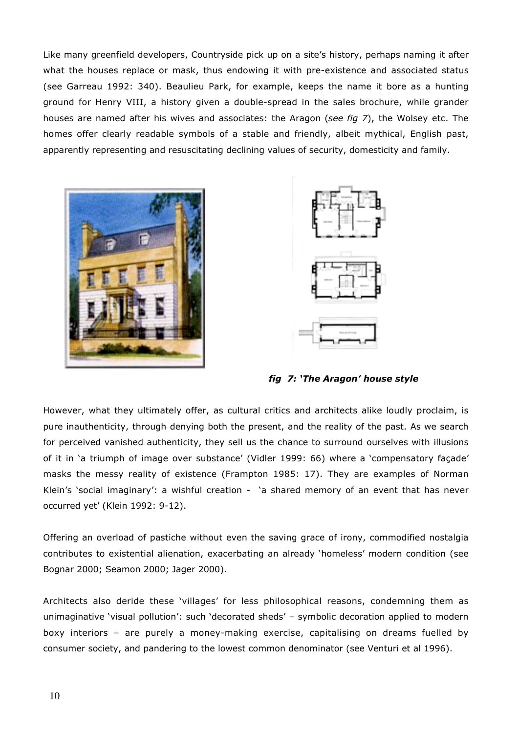Like many greenfield developers, Countryside pick up on a site's history, perhaps naming it after what the houses replace or mask, thus endowing it with pre-existence and associated status (see Garreau 1992: 340). Beaulieu Park, for example, keeps the name it bore as a hunting ground for Henry VIII, a history given a double-spread in the sales brochure, while grander houses are named after his wives and associates: the Aragon (*see fig 7*), the Wolsey etc. The homes offer clearly readable symbols of a stable and friendly, albeit mythical, English past, apparently representing and resuscitating declining values of security, domesticity and family.





*fig 7: 'The Aragon' house style*

However, what they ultimately offer, as cultural critics and architects alike loudly proclaim, is pure inauthenticity, through denying both the present, and the reality of the past. As we search for perceived vanished authenticity, they sell us the chance to surround ourselves with illusions of it in 'a triumph of image over substance' (Vidler 1999: 66) where a 'compensatory façade' masks the messy reality of existence (Frampton 1985: 17). They are examples of Norman Klein's 'social imaginary': a wishful creation - 'a shared memory of an event that has never occurred yet' (Klein 1992: 9-12).

Offering an overload of pastiche without even the saving grace of irony, commodified nostalgia contributes to existential alienation, exacerbating an already 'homeless' modern condition (see Bognar 2000; Seamon 2000; Jager 2000).

Architects also deride these 'villages' for less philosophical reasons, condemning them as unimaginative 'visual pollution': such 'decorated sheds' – symbolic decoration applied to modern boxy interiors – are purely a money-making exercise, capitalising on dreams fuelled by consumer society, and pandering to the lowest common denominator (see Venturi et al 1996).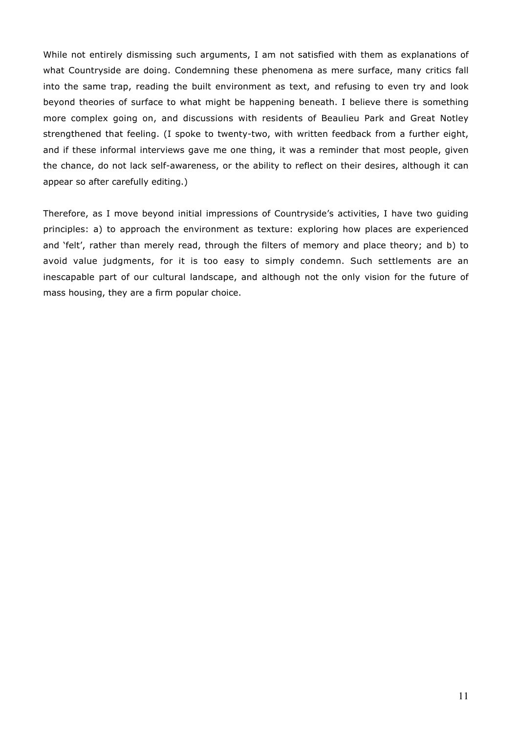While not entirely dismissing such arguments, I am not satisfied with them as explanations of what Countryside are doing. Condemning these phenomena as mere surface, many critics fall into the same trap, reading the built environment as text, and refusing to even try and look beyond theories of surface to what might be happening beneath. I believe there is something more complex going on, and discussions with residents of Beaulieu Park and Great Notley strengthened that feeling. (I spoke to twenty-two, with written feedback from a further eight, and if these informal interviews gave me one thing, it was a reminder that most people, given the chance, do not lack self-awareness, or the ability to reflect on their desires, although it can appear so after carefully editing.)

Therefore, as I move beyond initial impressions of Countryside's activities, I have two guiding principles: a) to approach the environment as texture: exploring how places are experienced and 'felt', rather than merely read, through the filters of memory and place theory; and b) to avoid value judgments, for it is too easy to simply condemn. Such settlements are an inescapable part of our cultural landscape, and although not the only vision for the future of mass housing, they are a firm popular choice.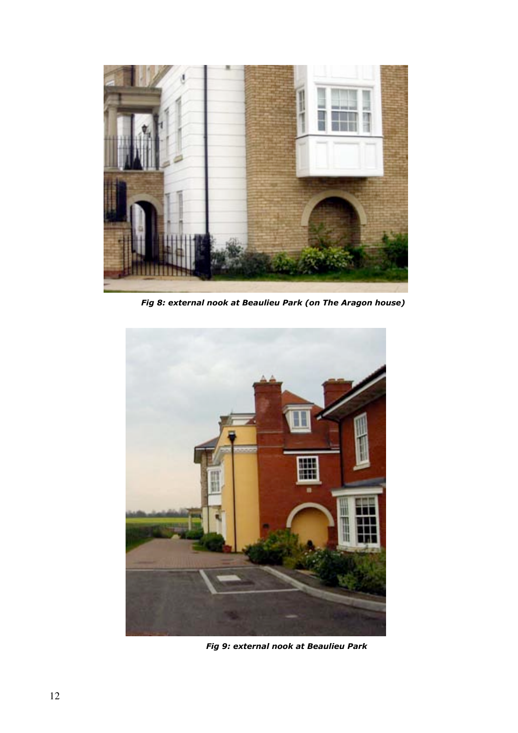

 *Fig 8: external nook at Beaulieu Park (on The Aragon house)*



*Fig 9: external nook at Beaulieu Park*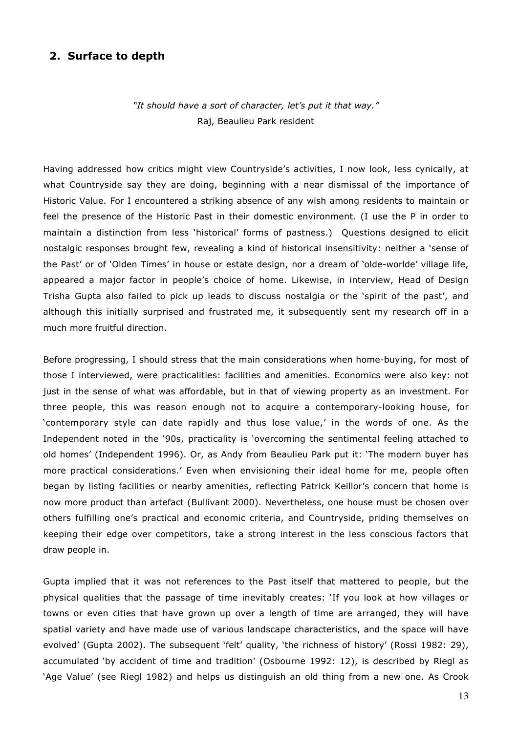### **2. Surface to depth**

*"It should have a sort of character, let's put it that way."* Raj, Beaulieu Park resident

Having addressed how critics might view Countryside's activities, I now look, less cynically, at what Countryside say they are doing, beginning with a near dismissal of the importance of Historic Value. For I encountered a striking absence of any wish among residents to maintain or feel the presence of the Historic Past in their domestic environment. (I use the P in order to maintain a distinction from less 'historical' forms of pastness.) Questions designed to elicit nostalgic responses brought few, revealing a kind of historical insensitivity: neither a 'sense of the Past' or of 'Olden Times' in house or estate design, nor a dream of 'olde-worlde' village life, appeared a major factor in people's choice of home. Likewise, in interview, Head of Design Trisha Gupta also failed to pick up leads to discuss nostalgia or the 'spirit of the past', and although this initially surprised and frustrated me, it subsequently sent my research off in a much more fruitful direction.

Before progressing, I should stress that the main considerations when home-buying, for most of those I interviewed, were practicalities: facilities and amenities. Economics were also key: not just in the sense of what was affordable, but in that of viewing property as an investment. For three people, this was reason enough not to acquire a contemporary-looking house, for 'contemporary style can date rapidly and thus lose value,' in the words of one. As the Independent noted in the '90s, practicality is 'overcoming the sentimental feeling attached to old homes' (Independent 1996). Or, as Andy from Beaulieu Park put it: 'The modern buyer has more practical considerations.' Even when envisioning their ideal home for me, people often began by listing facilities or nearby amenities, reflecting Patrick Keillor's concern that home is now more product than artefact (Bullivant 2000). Nevertheless, one house must be chosen over others fulfilling one's practical and economic criteria, and Countryside, priding themselves on keeping their edge over competitors, take a strong interest in the less conscious factors that draw people in.

Gupta implied that it was not references to the Past itself that mattered to people, but the physical qualities that the passage of time inevitably creates: 'If you look at how villages or towns or even cities that have grown up over a length of time are arranged, they will have spatial variety and have made use of various landscape characteristics, and the space will have evolved' (Gupta 2002). The subsequent 'felt' quality, 'the richness of history' (Rossi 1982: 29), accumulated 'by accident of time and tradition' (Osbourne 1992: 12), is described by Riegl as 'Age Value' (see Riegl 1982) and helps us distinguish an old thing from a new one. As Crook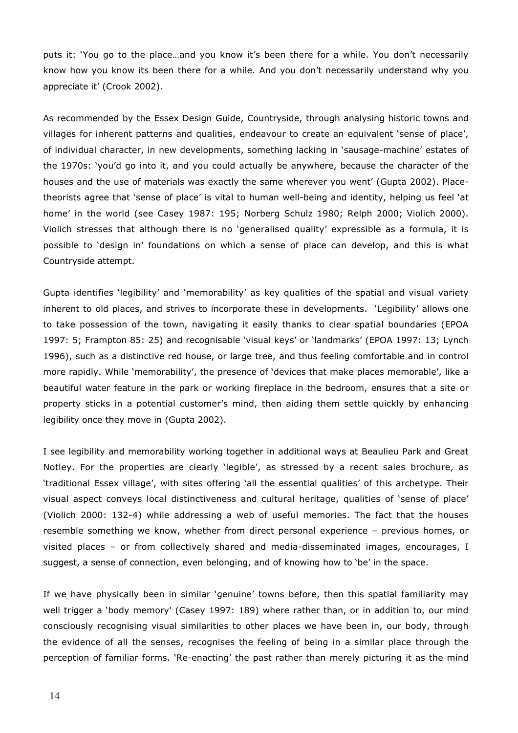puts it: 'You go to the place…and you know it's been there for a while. You don't necessarily know how you know its been there for a while. And you don't necessarily understand why you appreciate it' (Crook 2002).

As recommended by the Essex Design Guide, Countryside, through analysing historic towns and villages for inherent patterns and qualities, endeavour to create an equivalent 'sense of place', of individual character, in new developments, something lacking in 'sausage-machine' estates of the 1970s: 'you'd go into it, and you could actually be anywhere, because the character of the houses and the use of materials was exactly the same wherever you went' (Gupta 2002). Placetheorists agree that 'sense of place' is vital to human well-being and identity, helping us feel 'at home' in the world (see Casey 1987: 195; Norberg Schulz 1980; Relph 2000; Violich 2000). Violich stresses that although there is no 'generalised quality' expressible as a formula, it is possible to 'design in' foundations on which a sense of place can develop, and this is what Countryside attempt.

Gupta identifies 'legibility' and 'memorability' as key qualities of the spatial and visual variety inherent to old places, and strives to incorporate these in developments. 'Legibility' allows one to take possession of the town, navigating it easily thanks to clear spatial boundaries (EPOA 1997: 5; Frampton 85: 25) and recognisable 'visual keys' or 'landmarks' (EPOA 1997: 13; Lynch 1996), such as a distinctive red house, or large tree, and thus feeling comfortable and in control more rapidly. While 'memorability', the presence of 'devices that make places memorable', like a beautiful water feature in the park or working fireplace in the bedroom, ensures that a site or property sticks in a potential customer's mind, then aiding them settle quickly by enhancing legibility once they move in (Gupta 2002).

I see legibility and memorability working together in additional ways at Beaulieu Park and Great Notley. For the properties are clearly 'legible', as stressed by a recent sales brochure, as 'traditional Essex village', with sites offering 'all the essential qualities' of this archetype. Their visual aspect conveys local distinctiveness and cultural heritage, qualities of 'sense of place' (Violich 2000: 132-4) while addressing a web of useful memories. The fact that the houses resemble something we know, whether from direct personal experience – previous homes, or visited places – or from collectively shared and media-disseminated images, encourages, I suggest, a sense of connection, even belonging, and of knowing how to 'be' in the space.

If we have physically been in similar 'genuine' towns before, then this spatial familiarity may well trigger a 'body memory' (Casey 1997: 189) where rather than, or in addition to, our mind consciously recognising visual similarities to other places we have been in, our body, through the evidence of all the senses, recognises the feeling of being in a similar place through the perception of familiar forms. 'Re-enacting' the past rather than merely picturing it as the mind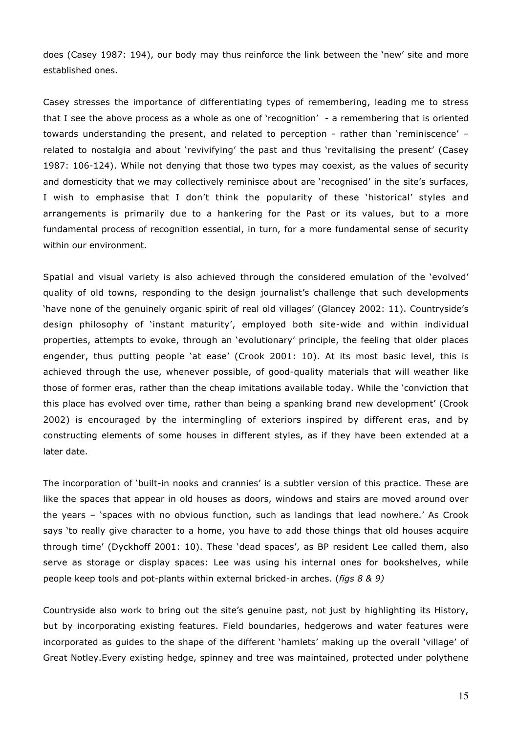does (Casey 1987: 194), our body may thus reinforce the link between the 'new' site and more established ones.

Casey stresses the importance of differentiating types of remembering, leading me to stress that I see the above process as a whole as one of 'recognition' - a remembering that is oriented towards understanding the present, and related to perception - rather than 'reminiscence' – related to nostalgia and about 'revivifying' the past and thus 'revitalising the present' (Casey 1987: 106-124). While not denying that those two types may coexist, as the values of security and domesticity that we may collectively reminisce about are 'recognised' in the site's surfaces, I wish to emphasise that I don't think the popularity of these 'historical' styles and arrangements is primarily due to a hankering for the Past or its values, but to a more fundamental process of recognition essential, in turn, for a more fundamental sense of security within our environment.

Spatial and visual variety is also achieved through the considered emulation of the 'evolved' quality of old towns, responding to the design journalist's challenge that such developments 'have none of the genuinely organic spirit of real old villages' (Glancey 2002: 11). Countryside's design philosophy of 'instant maturity', employed both site-wide and within individual properties, attempts to evoke, through an 'evolutionary' principle, the feeling that older places engender, thus putting people 'at ease' (Crook 2001: 10). At its most basic level, this is achieved through the use, whenever possible, of good-quality materials that will weather like those of former eras, rather than the cheap imitations available today. While the 'conviction that this place has evolved over time, rather than being a spanking brand new development' (Crook 2002) is encouraged by the intermingling of exteriors inspired by different eras, and by constructing elements of some houses in different styles, as if they have been extended at a later date.

The incorporation of 'built-in nooks and crannies' is a subtler version of this practice. These are like the spaces that appear in old houses as doors, windows and stairs are moved around over the years – 'spaces with no obvious function, such as landings that lead nowhere.' As Crook says 'to really give character to a home, you have to add those things that old houses acquire through time' (Dyckhoff 2001: 10). These 'dead spaces', as BP resident Lee called them, also serve as storage or display spaces: Lee was using his internal ones for bookshelves, while people keep tools and pot-plants within external bricked-in arches. (*figs 8 & 9)*

Countryside also work to bring out the site's genuine past, not just by highlighting its History, but by incorporating existing features. Field boundaries, hedgerows and water features were incorporated as guides to the shape of the different 'hamlets' making up the overall 'village' of Great Notley.Every existing hedge, spinney and tree was maintained, protected under polythene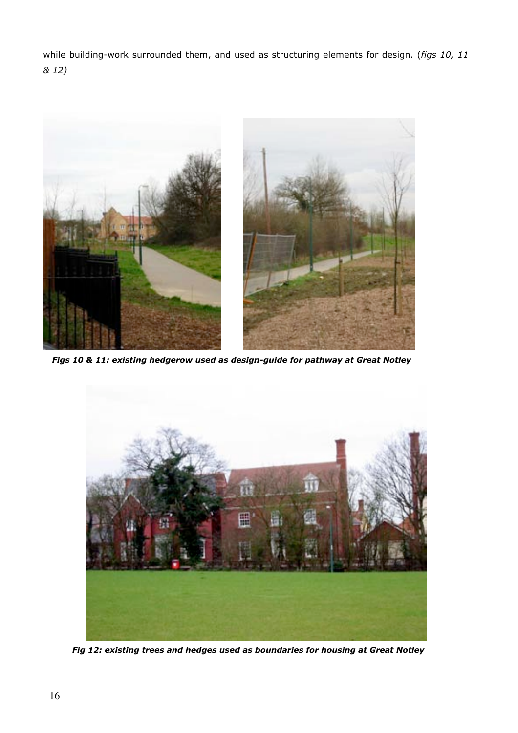while building-work surrounded them, and used as structuring elements for design. (*figs 10, 11 & 12)*



 *Figs 10 & 11: existing hedgerow used as design-guide for pathway at Great Notley*



 *Fig 12: existing trees and hedges used as boundaries for housing at Great Notley*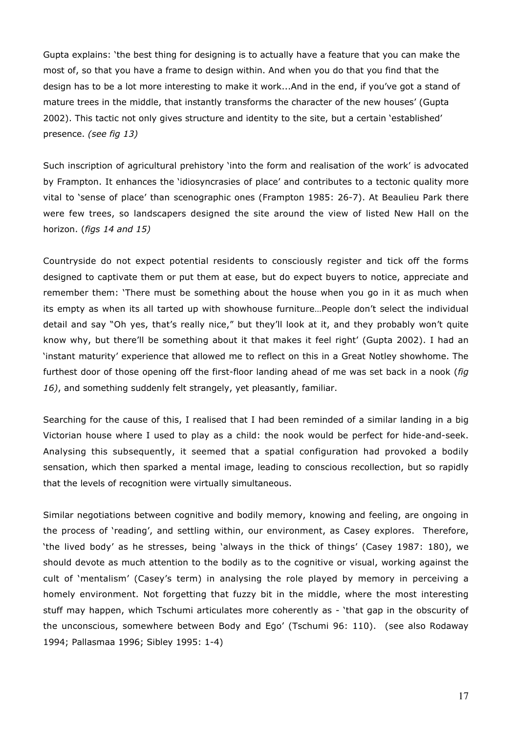Gupta explains: 'the best thing for designing is to actually have a feature that you can make the most of, so that you have a frame to design within. And when you do that you find that the design has to be a lot more interesting to make it work...And in the end, if you've got a stand of mature trees in the middle, that instantly transforms the character of the new houses' (Gupta 2002). This tactic not only gives structure and identity to the site, but a certain 'established' presence. *(see fig 13)*

Such inscription of agricultural prehistory 'into the form and realisation of the work' is advocated by Frampton. It enhances the 'idiosyncrasies of place' and contributes to a tectonic quality more vital to 'sense of place' than scenographic ones (Frampton 1985: 26-7). At Beaulieu Park there were few trees, so landscapers designed the site around the view of listed New Hall on the horizon. (*figs 14 and 15)*

Countryside do not expect potential residents to consciously register and tick off the forms designed to captivate them or put them at ease, but do expect buyers to notice, appreciate and remember them: 'There must be something about the house when you go in it as much when its empty as when its all tarted up with showhouse furniture…People don't select the individual detail and say "Oh yes, that's really nice," but they'll look at it, and they probably won't quite know why, but there'll be something about it that makes it feel right' (Gupta 2002). I had an 'instant maturity' experience that allowed me to reflect on this in a Great Notley showhome. The furthest door of those opening off the first-floor landing ahead of me was set back in a nook (*fig 16)*, and something suddenly felt strangely, yet pleasantly, familiar.

Searching for the cause of this, I realised that I had been reminded of a similar landing in a big Victorian house where I used to play as a child: the nook would be perfect for hide-and-seek. Analysing this subsequently, it seemed that a spatial configuration had provoked a bodily sensation, which then sparked a mental image, leading to conscious recollection, but so rapidly that the levels of recognition were virtually simultaneous.

Similar negotiations between cognitive and bodily memory, knowing and feeling, are ongoing in the process of 'reading', and settling within, our environment, as Casey explores. Therefore, 'the lived body' as he stresses, being 'always in the thick of things' (Casey 1987: 180), we should devote as much attention to the bodily as to the cognitive or visual, working against the cult of 'mentalism' (Casey's term) in analysing the role played by memory in perceiving a homely environment. Not forgetting that fuzzy bit in the middle, where the most interesting stuff may happen, which Tschumi articulates more coherently as - 'that gap in the obscurity of the unconscious, somewhere between Body and Ego' (Tschumi 96: 110). (see also Rodaway 1994; Pallasmaa 1996; Sibley 1995: 1-4)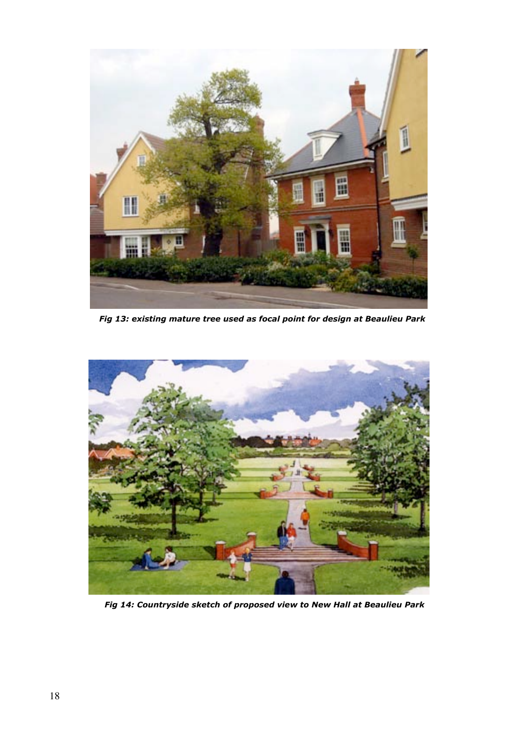

 *Fig 13: existing mature tree used as focal point for design at Beaulieu Park*



 *Fig 14: Countryside sketch of proposed view to New Hall at Beaulieu Park*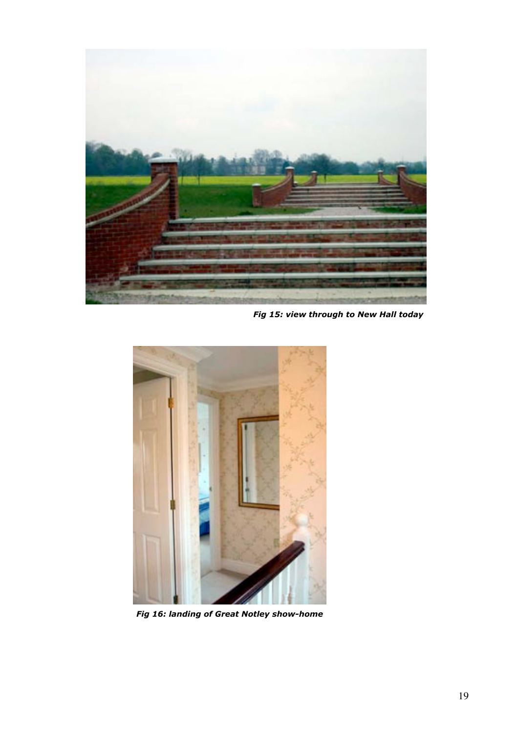

 *Fig 15: view through to New Hall today*



 *Fig 16: landing of Great Notley show-home*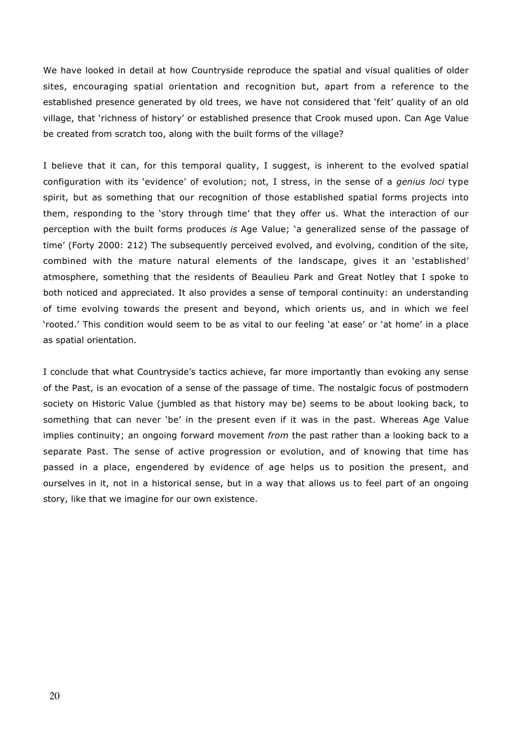We have looked in detail at how Countryside reproduce the spatial and visual qualities of older sites, encouraging spatial orientation and recognition but, apart from a reference to the established presence generated by old trees, we have not considered that 'felt' quality of an old village, that 'richness of history' or established presence that Crook mused upon. Can Age Value be created from scratch too, along with the built forms of the village?

I believe that it can, for this temporal quality, I suggest, is inherent to the evolved spatial configuration with its 'evidence' of evolution; not, I stress, in the sense of a *genius loci* type spirit, but as something that our recognition of those established spatial forms projects into them, responding to the 'story through time' that they offer us. What the interaction of our perception with the built forms produces *is* Age Value; 'a generalized sense of the passage of time' (Forty 2000: 212) The subsequently perceived evolved, and evolving, condition of the site, combined with the mature natural elements of the landscape, gives it an 'established' atmosphere, something that the residents of Beaulieu Park and Great Notley that I spoke to both noticed and appreciated. It also provides a sense of temporal continuity: an understanding of time evolving towards the present and beyond, which orients us, and in which we feel 'rooted.' This condition would seem to be as vital to our feeling 'at ease' or 'at home' in a place as spatial orientation.

I conclude that what Countryside's tactics achieve, far more importantly than evoking any sense of the Past, is an evocation of a sense of the passage of time. The nostalgic focus of postmodern society on Historic Value (jumbled as that history may be) seems to be about looking back, to something that can never 'be' in the present even if it was in the past. Whereas Age Value implies continuity; an ongoing forward movement *from* the past rather than a looking back to a separate Past. The sense of active progression or evolution, and of knowing that time has passed in a place, engendered by evidence of age helps us to position the present, and ourselves in it, not in a historical sense, but in a way that allows us to feel part of an ongoing story, like that we imagine for our own existence.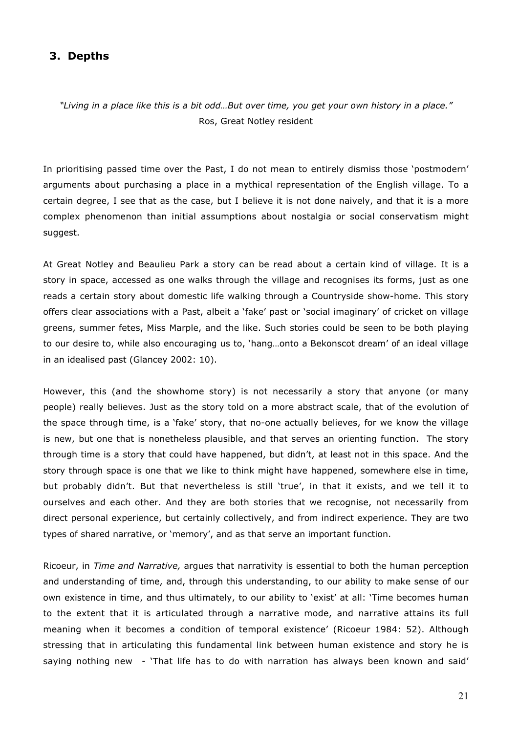## **3. Depths**

*"Living in a place like this is a bit odd…But over time, you get your own history in a place."* Ros, Great Notley resident

In prioritising passed time over the Past, I do not mean to entirely dismiss those 'postmodern' arguments about purchasing a place in a mythical representation of the English village. To a certain degree, I see that as the case, but I believe it is not done naively, and that it is a more complex phenomenon than initial assumptions about nostalgia or social conservatism might suggest.

At Great Notley and Beaulieu Park a story can be read about a certain kind of village. It is a story in space, accessed as one walks through the village and recognises its forms, just as one reads a certain story about domestic life walking through a Countryside show-home. This story offers clear associations with a Past, albeit a 'fake' past or 'social imaginary' of cricket on village greens, summer fetes, Miss Marple, and the like. Such stories could be seen to be both playing to our desire to, while also encouraging us to, 'hang…onto a Bekonscot dream' of an ideal village in an idealised past (Glancey 2002: 10).

However, this (and the showhome story) is not necessarily a story that anyone (or many people) really believes. Just as the story told on a more abstract scale, that of the evolution of the space through time, is a 'fake' story, that no-one actually believes, for we know the village is new, but one that is nonetheless plausible, and that serves an orienting function. The story through time is a story that could have happened, but didn't, at least not in this space. And the story through space is one that we like to think might have happened, somewhere else in time, but probably didn't. But that nevertheless is still 'true', in that it exists, and we tell it to ourselves and each other. And they are both stories that we recognise, not necessarily from direct personal experience, but certainly collectively, and from indirect experience. They are two types of shared narrative, or 'memory', and as that serve an important function.

Ricoeur, in *Time and Narrative,* argues that narrativity is essential to both the human perception and understanding of time, and, through this understanding, to our ability to make sense of our own existence in time, and thus ultimately, to our ability to 'exist' at all: 'Time becomes human to the extent that it is articulated through a narrative mode, and narrative attains its full meaning when it becomes a condition of temporal existence' (Ricoeur 1984: 52). Although stressing that in articulating this fundamental link between human existence and story he is saying nothing new - 'That life has to do with narration has always been known and said'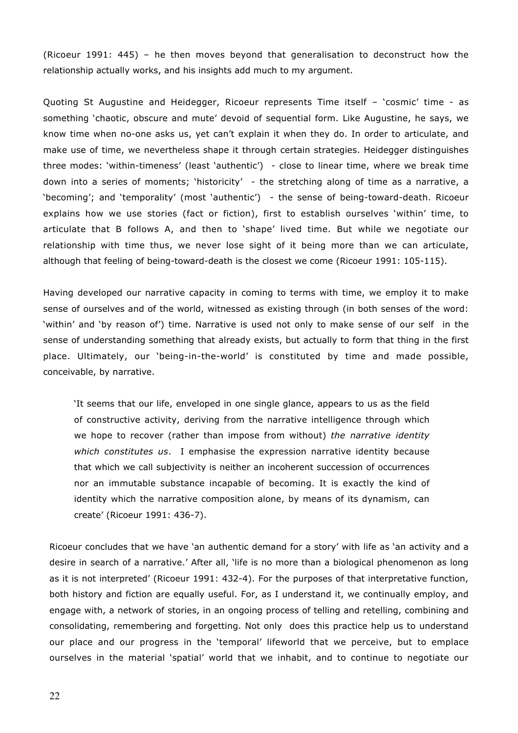(Ricoeur 1991: 445) – he then moves beyond that generalisation to deconstruct how the relationship actually works, and his insights add much to my argument.

Quoting St Augustine and Heidegger, Ricoeur represents Time itself – 'cosmic' time - as something 'chaotic, obscure and mute' devoid of sequential form. Like Augustine, he says, we know time when no-one asks us, yet can't explain it when they do. In order to articulate, and make use of time, we nevertheless shape it through certain strategies. Heidegger distinguishes three modes: 'within-timeness' (least 'authentic') - close to linear time, where we break time down into a series of moments; 'historicity' - the stretching along of time as a narrative, a 'becoming'; and 'temporality' (most 'authentic') - the sense of being-toward-death. Ricoeur explains how we use stories (fact or fiction), first to establish ourselves 'within' time, to articulate that B follows A, and then to 'shape' lived time. But while we negotiate our relationship with time thus, we never lose sight of it being more than we can articulate, although that feeling of being-toward-death is the closest we come (Ricoeur 1991: 105-115).

Having developed our narrative capacity in coming to terms with time, we employ it to make sense of ourselves and of the world, witnessed as existing through (in both senses of the word: 'within' and 'by reason of') time. Narrative is used not only to make sense of our self in the sense of understanding something that already exists, but actually to form that thing in the first place. Ultimately, our 'being-in-the-world' is constituted by time and made possible, conceivable, by narrative.

'It seems that our life, enveloped in one single glance, appears to us as the field of constructive activity, deriving from the narrative intelligence through which we hope to recover (rather than impose from without) *the narrative identity which constitutes us*. I emphasise the expression narrative identity because that which we call subjectivity is neither an incoherent succession of occurrences nor an immutable substance incapable of becoming. It is exactly the kind of identity which the narrative composition alone, by means of its dynamism, can create' (Ricoeur 1991: 436-7).

Ricoeur concludes that we have 'an authentic demand for a story' with life as 'an activity and a desire in search of a narrative.' After all, 'life is no more than a biological phenomenon as long as it is not interpreted' (Ricoeur 1991: 432-4). For the purposes of that interpretative function, both history and fiction are equally useful. For, as I understand it, we continually employ, and engage with, a network of stories, in an ongoing process of telling and retelling, combining and consolidating, remembering and forgetting. Not only does this practice help us to understand our place and our progress in the 'temporal' lifeworld that we perceive, but to emplace ourselves in the material 'spatial' world that we inhabit, and to continue to negotiate our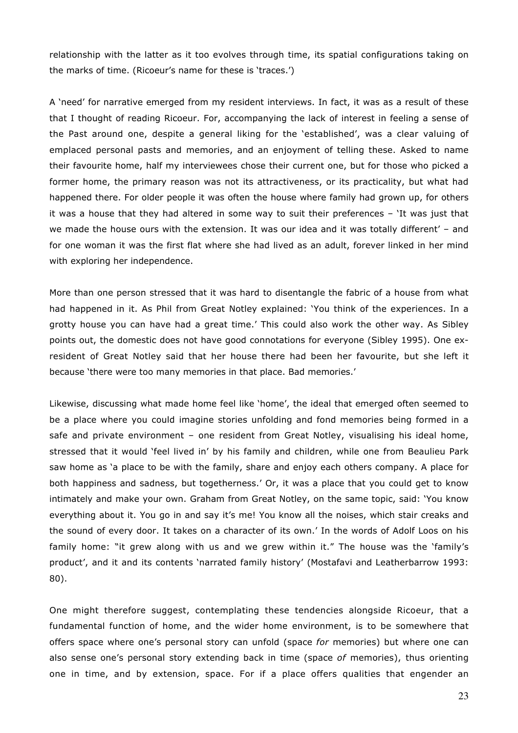relationship with the latter as it too evolves through time, its spatial configurations taking on the marks of time. (Ricoeur's name for these is 'traces.')

A 'need' for narrative emerged from my resident interviews. In fact, it was as a result of these that I thought of reading Ricoeur. For, accompanying the lack of interest in feeling a sense of the Past around one, despite a general liking for the 'established', was a clear valuing of emplaced personal pasts and memories, and an enjoyment of telling these. Asked to name their favourite home, half my interviewees chose their current one, but for those who picked a former home, the primary reason was not its attractiveness, or its practicality, but what had happened there. For older people it was often the house where family had grown up, for others it was a house that they had altered in some way to suit their preferences – 'It was just that we made the house ours with the extension. It was our idea and it was totally different' – and for one woman it was the first flat where she had lived as an adult, forever linked in her mind with exploring her independence.

More than one person stressed that it was hard to disentangle the fabric of a house from what had happened in it. As Phil from Great Notley explained: 'You think of the experiences. In a grotty house you can have had a great time.' This could also work the other way. As Sibley points out, the domestic does not have good connotations for everyone (Sibley 1995). One exresident of Great Notley said that her house there had been her favourite, but she left it because 'there were too many memories in that place. Bad memories.'

Likewise, discussing what made home feel like 'home', the ideal that emerged often seemed to be a place where you could imagine stories unfolding and fond memories being formed in a safe and private environment - one resident from Great Notley, visualising his ideal home, stressed that it would 'feel lived in' by his family and children, while one from Beaulieu Park saw home as 'a place to be with the family, share and enjoy each others company. A place for both happiness and sadness, but togetherness.' Or, it was a place that you could get to know intimately and make your own. Graham from Great Notley, on the same topic, said: 'You know everything about it. You go in and say it's me! You know all the noises, which stair creaks and the sound of every door. It takes on a character of its own.' In the words of Adolf Loos on his family home: "it grew along with us and we grew within it." The house was the 'family's product', and it and its contents 'narrated family history' (Mostafavi and Leatherbarrow 1993: 80).

One might therefore suggest, contemplating these tendencies alongside Ricoeur, that a fundamental function of home, and the wider home environment, is to be somewhere that offers space where one's personal story can unfold (space *for* memories) but where one can also sense one's personal story extending back in time (space *of* memories), thus orienting one in time, and by extension, space. For if a place offers qualities that engender an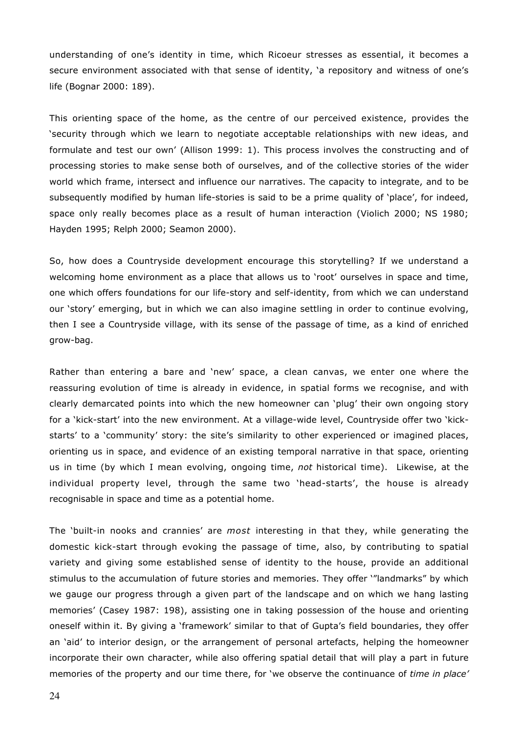understanding of one's identity in time, which Ricoeur stresses as essential, it becomes a secure environment associated with that sense of identity, 'a repository and witness of one's life (Bognar 2000: 189).

This orienting space of the home, as the centre of our perceived existence, provides the 'security through which we learn to negotiate acceptable relationships with new ideas, and formulate and test our own' (Allison 1999: 1). This process involves the constructing and of processing stories to make sense both of ourselves, and of the collective stories of the wider world which frame, intersect and influence our narratives. The capacity to integrate, and to be subsequently modified by human life-stories is said to be a prime quality of 'place', for indeed, space only really becomes place as a result of human interaction (Violich 2000; NS 1980; Hayden 1995; Relph 2000; Seamon 2000).

So, how does a Countryside development encourage this storytelling? If we understand a welcoming home environment as a place that allows us to 'root' ourselves in space and time, one which offers foundations for our life-story and self-identity, from which we can understand our 'story' emerging, but in which we can also imagine settling in order to continue evolving, then I see a Countryside village, with its sense of the passage of time, as a kind of enriched grow-bag.

Rather than entering a bare and 'new' space, a clean canvas, we enter one where the reassuring evolution of time is already in evidence, in spatial forms we recognise, and with clearly demarcated points into which the new homeowner can 'plug' their own ongoing story for a 'kick-start' into the new environment. At a village-wide level, Countryside offer two 'kickstarts' to a 'community' story: the site's similarity to other experienced or imagined places, orienting us in space, and evidence of an existing temporal narrative in that space, orienting us in time (by which I mean evolving, ongoing time, *not* historical time). Likewise, at the individual property level, through the same two 'head-starts', the house is already recognisable in space and time as a potential home.

The 'built-in nooks and crannies' are *most* interesting in that they, while generating the domestic kick-start through evoking the passage of time, also, by contributing to spatial variety and giving some established sense of identity to the house, provide an additional stimulus to the accumulation of future stories and memories. They offer '"landmarks" by which we gauge our progress through a given part of the landscape and on which we hang lasting memories' (Casey 1987: 198), assisting one in taking possession of the house and orienting oneself within it. By giving a 'framework' similar to that of Gupta's field boundaries, they offer an 'aid' to interior design, or the arrangement of personal artefacts, helping the homeowner incorporate their own character, while also offering spatial detail that will play a part in future memories of the property and our time there, for 'we observe the continuance of *time in place'*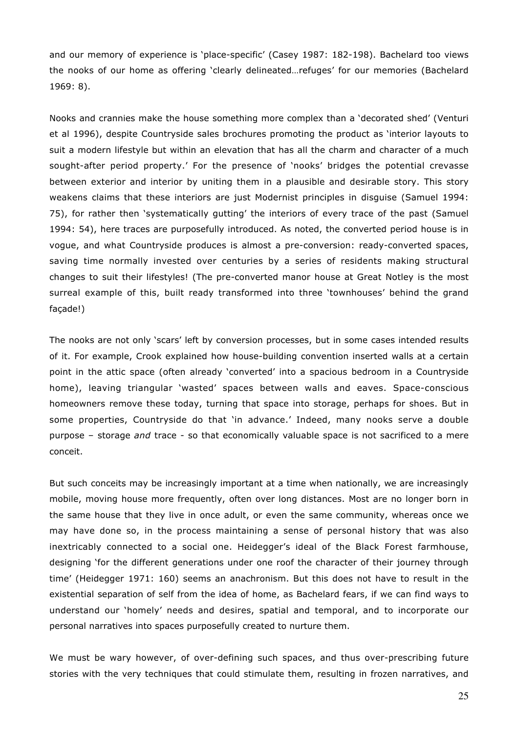and our memory of experience is 'place-specific' (Casey 1987: 182-198). Bachelard too views the nooks of our home as offering 'clearly delineated…refuges' for our memories (Bachelard 1969: 8).

Nooks and crannies make the house something more complex than a 'decorated shed' (Venturi et al 1996), despite Countryside sales brochures promoting the product as 'interior layouts to suit a modern lifestyle but within an elevation that has all the charm and character of a much sought-after period property.' For the presence of 'nooks' bridges the potential crevasse between exterior and interior by uniting them in a plausible and desirable story. This story weakens claims that these interiors are just Modernist principles in disguise (Samuel 1994: 75), for rather then 'systematically gutting' the interiors of every trace of the past (Samuel 1994: 54), here traces are purposefully introduced. As noted, the converted period house is in vogue, and what Countryside produces is almost a pre-conversion: ready-converted spaces, saving time normally invested over centuries by a series of residents making structural changes to suit their lifestyles! (The pre-converted manor house at Great Notley is the most surreal example of this, built ready transformed into three 'townhouses' behind the grand façade!)

The nooks are not only 'scars' left by conversion processes, but in some cases intended results of it. For example, Crook explained how house-building convention inserted walls at a certain point in the attic space (often already 'converted' into a spacious bedroom in a Countryside home), leaving triangular 'wasted' spaces between walls and eaves. Space-conscious homeowners remove these today, turning that space into storage, perhaps for shoes. But in some properties, Countryside do that 'in advance.' Indeed, many nooks serve a double purpose – storage *and* trace - so that economically valuable space is not sacrificed to a mere conceit.

But such conceits may be increasingly important at a time when nationally, we are increasingly mobile, moving house more frequently, often over long distances. Most are no longer born in the same house that they live in once adult, or even the same community, whereas once we may have done so, in the process maintaining a sense of personal history that was also inextricably connected to a social one. Heidegger's ideal of the Black Forest farmhouse, designing 'for the different generations under one roof the character of their journey through time' (Heidegger 1971: 160) seems an anachronism. But this does not have to result in the existential separation of self from the idea of home, as Bachelard fears, if we can find ways to understand our 'homely' needs and desires, spatial and temporal, and to incorporate our personal narratives into spaces purposefully created to nurture them.

We must be wary however, of over-defining such spaces, and thus over-prescribing future stories with the very techniques that could stimulate them, resulting in frozen narratives, and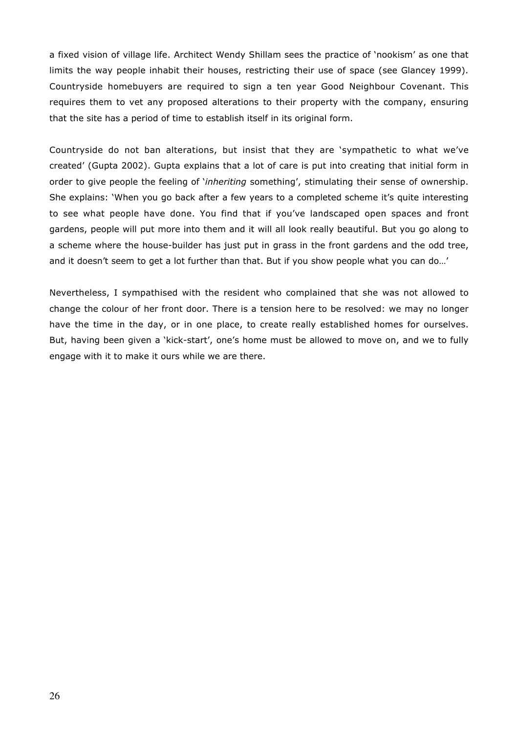a fixed vision of village life. Architect Wendy Shillam sees the practice of 'nookism' as one that limits the way people inhabit their houses, restricting their use of space (see Glancey 1999). Countryside homebuyers are required to sign a ten year Good Neighbour Covenant. This requires them to vet any proposed alterations to their property with the company, ensuring that the site has a period of time to establish itself in its original form.

Countryside do not ban alterations, but insist that they are 'sympathetic to what we've created' (Gupta 2002). Gupta explains that a lot of care is put into creating that initial form in order to give people the feeling of '*inheriting* something', stimulating their sense of ownership. She explains: 'When you go back after a few years to a completed scheme it's quite interesting to see what people have done. You find that if you've landscaped open spaces and front gardens, people will put more into them and it will all look really beautiful. But you go along to a scheme where the house-builder has just put in grass in the front gardens and the odd tree, and it doesn't seem to get a lot further than that. But if you show people what you can do…'

Nevertheless, I sympathised with the resident who complained that she was not allowed to change the colour of her front door. There is a tension here to be resolved: we may no longer have the time in the day, or in one place, to create really established homes for ourselves. But, having been given a 'kick-start', one's home must be allowed to move on, and we to fully engage with it to make it ours while we are there.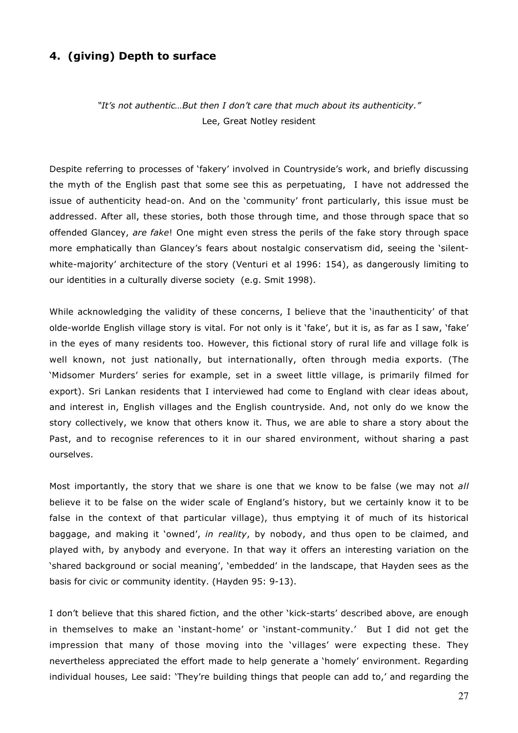## **4. (giving) Depth to surface**

*"It's not authentic…But then I don't care that much about its authenticity."* Lee, Great Notley resident

Despite referring to processes of 'fakery' involved in Countryside's work, and briefly discussing the myth of the English past that some see this as perpetuating, I have not addressed the issue of authenticity head-on. And on the 'community' front particularly, this issue must be addressed. After all, these stories, both those through time, and those through space that so offended Glancey, *are fake*! One might even stress the perils of the fake story through space more emphatically than Glancey's fears about nostalgic conservatism did, seeing the 'silentwhite-majority' architecture of the story (Venturi et al 1996: 154), as dangerously limiting to our identities in a culturally diverse society (e.g. Smit 1998).

While acknowledging the validity of these concerns, I believe that the 'inauthenticity' of that olde-worlde English village story is vital. For not only is it 'fake', but it is, as far as I saw, 'fake' in the eyes of many residents too. However, this fictional story of rural life and village folk is well known, not just nationally, but internationally, often through media exports. (The 'Midsomer Murders' series for example, set in a sweet little village, is primarily filmed for export). Sri Lankan residents that I interviewed had come to England with clear ideas about, and interest in, English villages and the English countryside. And, not only do we know the story collectively, we know that others know it. Thus, we are able to share a story about the Past, and to recognise references to it in our shared environment, without sharing a past ourselves.

Most importantly, the story that we share is one that we know to be false (we may not *all* believe it to be false on the wider scale of England's history, but we certainly know it to be false in the context of that particular village), thus emptying it of much of its historical baggage, and making it 'owned', *in reality*, by nobody, and thus open to be claimed, and played with, by anybody and everyone. In that way it offers an interesting variation on the 'shared background or social meaning', 'embedded' in the landscape, that Hayden sees as the basis for civic or community identity. (Hayden 95: 9-13).

I don't believe that this shared fiction, and the other 'kick-starts' described above, are enough in themselves to make an 'instant-home' or 'instant-community.' But I did not get the impression that many of those moving into the 'villages' were expecting these. They nevertheless appreciated the effort made to help generate a 'homely' environment. Regarding individual houses, Lee said: 'They're building things that people can add to,' and regarding the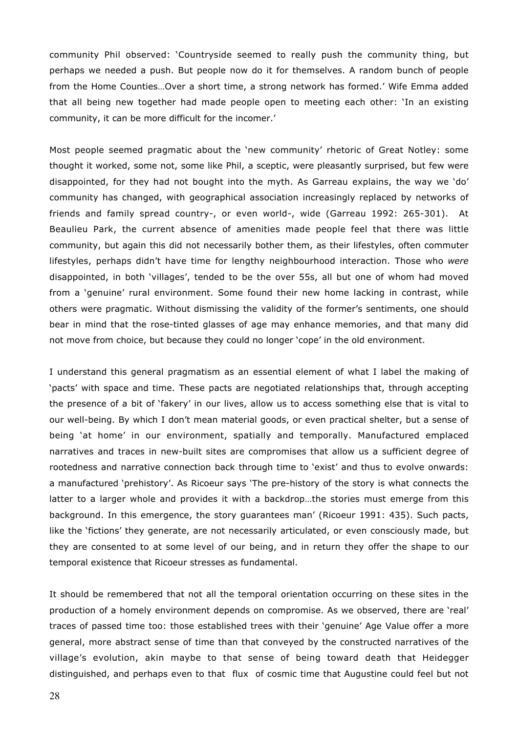community Phil observed: 'Countryside seemed to really push the community thing, but perhaps we needed a push. But people now do it for themselves. A random bunch of people from the Home Counties…Over a short time, a strong network has formed.' Wife Emma added that all being new together had made people open to meeting each other: 'In an existing community, it can be more difficult for the incomer.'

Most people seemed pragmatic about the 'new community' rhetoric of Great Notley: some thought it worked, some not, some like Phil, a sceptic, were pleasantly surprised, but few were disappointed, for they had not bought into the myth. As Garreau explains, the way we 'do' community has changed, with geographical association increasingly replaced by networks of friends and family spread country-, or even world-, wide (Garreau 1992: 265-301). At Beaulieu Park, the current absence of amenities made people feel that there was little community, but again this did not necessarily bother them, as their lifestyles, often commuter lifestyles, perhaps didn't have time for lengthy neighbourhood interaction. Those who *were* disappointed, in both 'villages', tended to be the over 55s, all but one of whom had moved from a 'genuine' rural environment. Some found their new home lacking in contrast, while others were pragmatic. Without dismissing the validity of the former's sentiments, one should bear in mind that the rose-tinted glasses of age may enhance memories, and that many did not move from choice, but because they could no longer 'cope' in the old environment.

I understand this general pragmatism as an essential element of what I label the making of 'pacts' with space and time. These pacts are negotiated relationships that, through accepting the presence of a bit of 'fakery' in our lives, allow us to access something else that is vital to our well-being. By which I don't mean material goods, or even practical shelter, but a sense of being 'at home' in our environment, spatially and temporally. Manufactured emplaced narratives and traces in new-built sites are compromises that allow us a sufficient degree of rootedness and narrative connection back through time to 'exist' and thus to evolve onwards: a manufactured 'prehistory'. As Ricoeur says 'The pre-history of the story is what connects the latter to a larger whole and provides it with a backdrop…the stories must emerge from this background. In this emergence, the story guarantees man' (Ricoeur 1991: 435). Such pacts, like the 'fictions' they generate, are not necessarily articulated, or even consciously made, but they are consented to at some level of our being, and in return they offer the shape to our temporal existence that Ricoeur stresses as fundamental.

It should be remembered that not all the temporal orientation occurring on these sites in the production of a homely environment depends on compromise. As we observed, there are 'real' traces of passed time too: those established trees with their 'genuine' Age Value offer a more general, more abstract sense of time than that conveyed by the constructed narratives of the village's evolution, akin maybe to that sense of being toward death that Heidegger distinguished, and perhaps even to that flux of cosmic time that Augustine could feel but not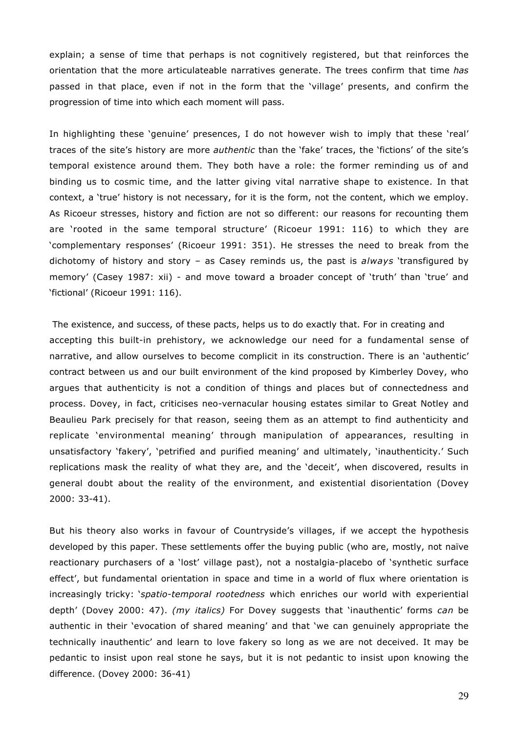explain; a sense of time that perhaps is not cognitively registered, but that reinforces the orientation that the more articulateable narratives generate. The trees confirm that time *has* passed in that place, even if not in the form that the 'village' presents, and confirm the progression of time into which each moment will pass.

In highlighting these 'genuine' presences, I do not however wish to imply that these 'real' traces of the site's history are more *authentic* than the 'fake' traces, the 'fictions' of the site's temporal existence around them. They both have a role: the former reminding us of and binding us to cosmic time, and the latter giving vital narrative shape to existence. In that context, a 'true' history is not necessary, for it is the form, not the content, which we employ. As Ricoeur stresses, history and fiction are not so different: our reasons for recounting them are 'rooted in the same temporal structure' (Ricoeur 1991: 116) to which they are 'complementary responses' (Ricoeur 1991: 351). He stresses the need to break from the dichotomy of history and story – as Casey reminds us, the past is *always* 'transfigured by memory' (Casey 1987: xii) - and move toward a broader concept of 'truth' than 'true' and 'fictional' (Ricoeur 1991: 116).

 The existence, and success, of these pacts, helps us to do exactly that. For in creating and accepting this built-in prehistory, we acknowledge our need for a fundamental sense of narrative, and allow ourselves to become complicit in its construction. There is an 'authentic' contract between us and our built environment of the kind proposed by Kimberley Dovey, who argues that authenticity is not a condition of things and places but of connectedness and process. Dovey, in fact, criticises neo-vernacular housing estates similar to Great Notley and Beaulieu Park precisely for that reason, seeing them as an attempt to find authenticity and replicate 'environmental meaning' through manipulation of appearances, resulting in unsatisfactory 'fakery', 'petrified and purified meaning' and ultimately, 'inauthenticity.' Such replications mask the reality of what they are, and the 'deceit', when discovered, results in general doubt about the reality of the environment, and existential disorientation (Dovey 2000: 33-41).

But his theory also works in favour of Countryside's villages, if we accept the hypothesis developed by this paper. These settlements offer the buying public (who are, mostly, not naïve reactionary purchasers of a 'lost' village past), not a nostalgia-placebo of 'synthetic surface effect', but fundamental orientation in space and time in a world of flux where orientation is increasingly tricky: '*spatio-temporal rootedness* which enriches our world with experiential depth' (Dovey 2000: 47). *(my italics)* For Dovey suggests that 'inauthentic' forms *can* be authentic in their 'evocation of shared meaning' and that 'we can genuinely appropriate the technically inauthentic' and learn to love fakery so long as we are not deceived. It may be pedantic to insist upon real stone he says, but it is not pedantic to insist upon knowing the difference. (Dovey 2000: 36-41)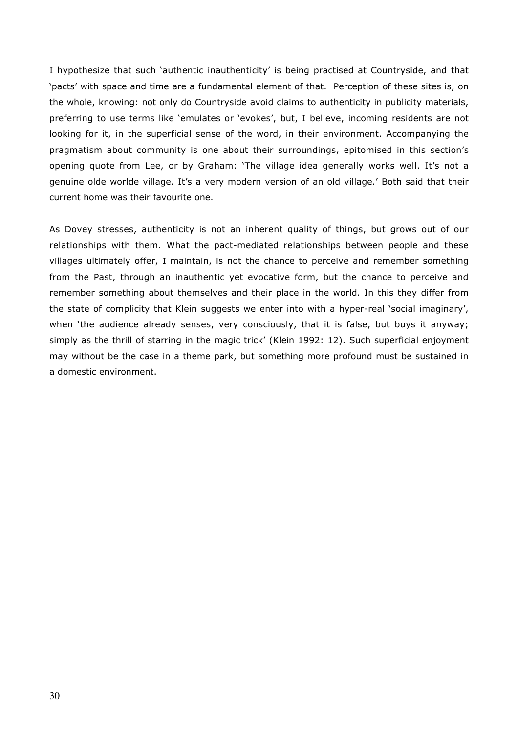I hypothesize that such 'authentic inauthenticity' is being practised at Countryside, and that 'pacts' with space and time are a fundamental element of that. Perception of these sites is, on the whole, knowing: not only do Countryside avoid claims to authenticity in publicity materials, preferring to use terms like 'emulates or 'evokes', but, I believe, incoming residents are not looking for it, in the superficial sense of the word, in their environment. Accompanying the pragmatism about community is one about their surroundings, epitomised in this section's opening quote from Lee, or by Graham: 'The village idea generally works well. It's not a genuine olde worlde village. It's a very modern version of an old village.' Both said that their current home was their favourite one.

As Dovey stresses, authenticity is not an inherent quality of things, but grows out of our relationships with them. What the pact-mediated relationships between people and these villages ultimately offer, I maintain, is not the chance to perceive and remember something from the Past, through an inauthentic yet evocative form, but the chance to perceive and remember something about themselves and their place in the world. In this they differ from the state of complicity that Klein suggests we enter into with a hyper-real 'social imaginary', when 'the audience already senses, very consciously, that it is false, but buys it anyway; simply as the thrill of starring in the magic trick' (Klein 1992: 12). Such superficial enjoyment may without be the case in a theme park, but something more profound must be sustained in a domestic environment.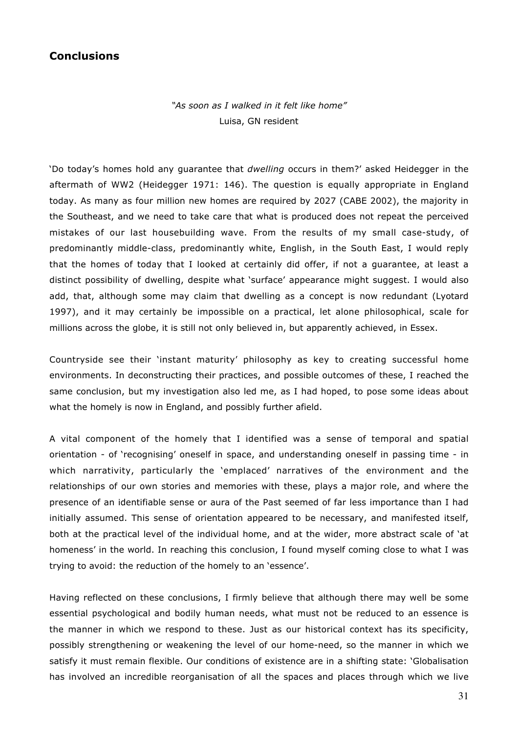## **Conclusions**

*"As soon as I walked in it felt like home"* Luisa, GN resident

'Do today's homes hold any guarantee that *dwelling* occurs in them?' asked Heidegger in the aftermath of WW2 (Heidegger 1971: 146). The question is equally appropriate in England today. As many as four million new homes are required by 2027 (CABE 2002), the majority in the Southeast, and we need to take care that what is produced does not repeat the perceived mistakes of our last housebuilding wave. From the results of my small case-study, of predominantly middle-class, predominantly white, English, in the South East, I would reply that the homes of today that I looked at certainly did offer, if not a guarantee, at least a distinct possibility of dwelling, despite what 'surface' appearance might suggest. I would also add, that, although some may claim that dwelling as a concept is now redundant (Lyotard 1997), and it may certainly be impossible on a practical, let alone philosophical, scale for millions across the globe, it is still not only believed in, but apparently achieved, in Essex.

Countryside see their 'instant maturity' philosophy as key to creating successful home environments. In deconstructing their practices, and possible outcomes of these, I reached the same conclusion, but my investigation also led me, as I had hoped, to pose some ideas about what the homely is now in England, and possibly further afield.

A vital component of the homely that I identified was a sense of temporal and spatial orientation - of 'recognising' oneself in space, and understanding oneself in passing time - in which narrativity, particularly the 'emplaced' narratives of the environment and the relationships of our own stories and memories with these, plays a major role, and where the presence of an identifiable sense or aura of the Past seemed of far less importance than I had initially assumed. This sense of orientation appeared to be necessary, and manifested itself, both at the practical level of the individual home, and at the wider, more abstract scale of 'at homeness' in the world. In reaching this conclusion, I found myself coming close to what I was trying to avoid: the reduction of the homely to an 'essence'.

Having reflected on these conclusions, I firmly believe that although there may well be some essential psychological and bodily human needs, what must not be reduced to an essence is the manner in which we respond to these. Just as our historical context has its specificity, possibly strengthening or weakening the level of our home-need, so the manner in which we satisfy it must remain flexible. Our conditions of existence are in a shifting state: 'Globalisation has involved an incredible reorganisation of all the spaces and places through which we live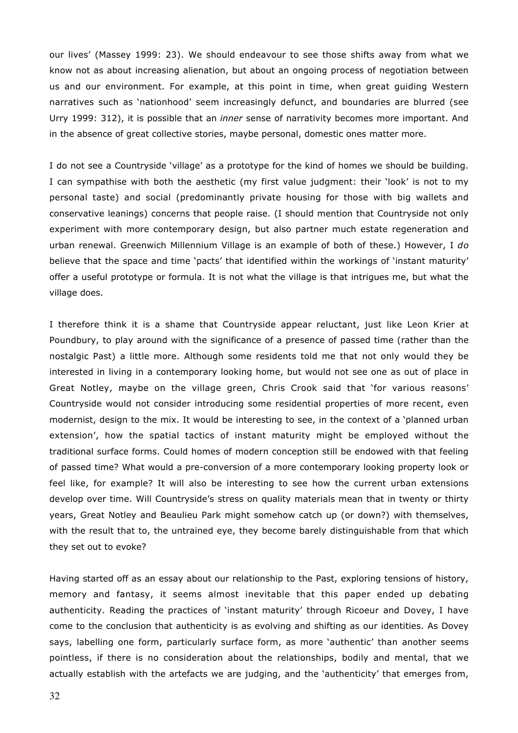our lives' (Massey 1999: 23). We should endeavour to see those shifts away from what we know not as about increasing alienation, but about an ongoing process of negotiation between us and our environment. For example, at this point in time, when great guiding Western narratives such as 'nationhood' seem increasingly defunct, and boundaries are blurred (see Urry 1999: 312), it is possible that an *inner* sense of narrativity becomes more important. And in the absence of great collective stories, maybe personal, domestic ones matter more.

I do not see a Countryside 'village' as a prototype for the kind of homes we should be building. I can sympathise with both the aesthetic (my first value judgment: their 'look' is not to my personal taste) and social (predominantly private housing for those with big wallets and conservative leanings) concerns that people raise. (I should mention that Countryside not only experiment with more contemporary design, but also partner much estate regeneration and urban renewal. Greenwich Millennium Village is an example of both of these.) However, I *do* believe that the space and time 'pacts' that identified within the workings of 'instant maturity' offer a useful prototype or formula. It is not what the village is that intrigues me, but what the village does.

I therefore think it is a shame that Countryside appear reluctant, just like Leon Krier at Poundbury, to play around with the significance of a presence of passed time (rather than the nostalgic Past) a little more. Although some residents told me that not only would they be interested in living in a contemporary looking home, but would not see one as out of place in Great Notley, maybe on the village green, Chris Crook said that 'for various reasons' Countryside would not consider introducing some residential properties of more recent, even modernist, design to the mix. It would be interesting to see, in the context of a 'planned urban extension', how the spatial tactics of instant maturity might be employed without the traditional surface forms. Could homes of modern conception still be endowed with that feeling of passed time? What would a pre-conversion of a more contemporary looking property look or feel like, for example? It will also be interesting to see how the current urban extensions develop over time. Will Countryside's stress on quality materials mean that in twenty or thirty years, Great Notley and Beaulieu Park might somehow catch up (or down?) with themselves, with the result that to, the untrained eye, they become barely distinguishable from that which they set out to evoke?

Having started off as an essay about our relationship to the Past, exploring tensions of history, memory and fantasy, it seems almost inevitable that this paper ended up debating authenticity. Reading the practices of 'instant maturity' through Ricoeur and Dovey, I have come to the conclusion that authenticity is as evolving and shifting as our identities. As Dovey says, labelling one form, particularly surface form, as more 'authentic' than another seems pointless, if there is no consideration about the relationships, bodily and mental, that we actually establish with the artefacts we are judging, and the 'authenticity' that emerges from,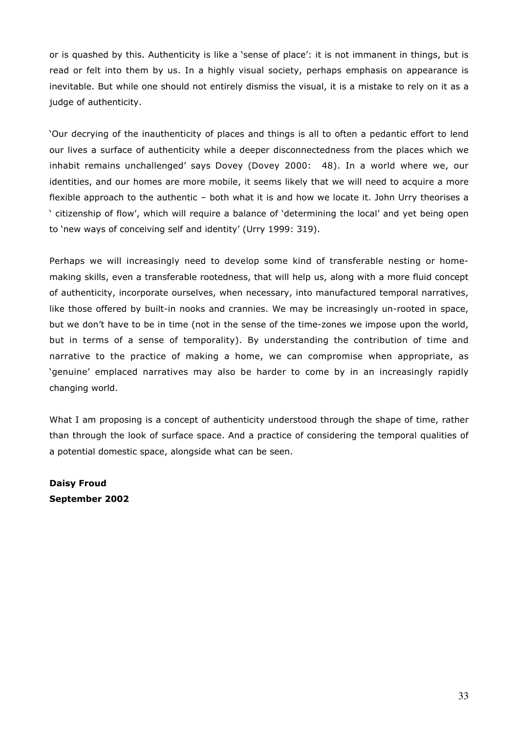or is quashed by this. Authenticity is like a 'sense of place': it is not immanent in things, but is read or felt into them by us. In a highly visual society, perhaps emphasis on appearance is inevitable. But while one should not entirely dismiss the visual, it is a mistake to rely on it as a judge of authenticity.

'Our decrying of the inauthenticity of places and things is all to often a pedantic effort to lend our lives a surface of authenticity while a deeper disconnectedness from the places which we inhabit remains unchallenged' says Dovey (Dovey 2000: 48). In a world where we, our identities, and our homes are more mobile, it seems likely that we will need to acquire a more flexible approach to the authentic – both what it is and how we locate it. John Urry theorises a ' citizenship of flow', which will require a balance of 'determining the local' and yet being open to 'new ways of conceiving self and identity' (Urry 1999: 319).

Perhaps we will increasingly need to develop some kind of transferable nesting or homemaking skills, even a transferable rootedness, that will help us, along with a more fluid concept of authenticity, incorporate ourselves, when necessary, into manufactured temporal narratives, like those offered by built-in nooks and crannies. We may be increasingly un-rooted in space, but we don't have to be in time (not in the sense of the time-zones we impose upon the world, but in terms of a sense of temporality). By understanding the contribution of time and narrative to the practice of making a home, we can compromise when appropriate, as 'genuine' emplaced narratives may also be harder to come by in an increasingly rapidly changing world.

What I am proposing is a concept of authenticity understood through the shape of time, rather than through the look of surface space. And a practice of considering the temporal qualities of a potential domestic space, alongside what can be seen.

**Daisy Froud September 2002**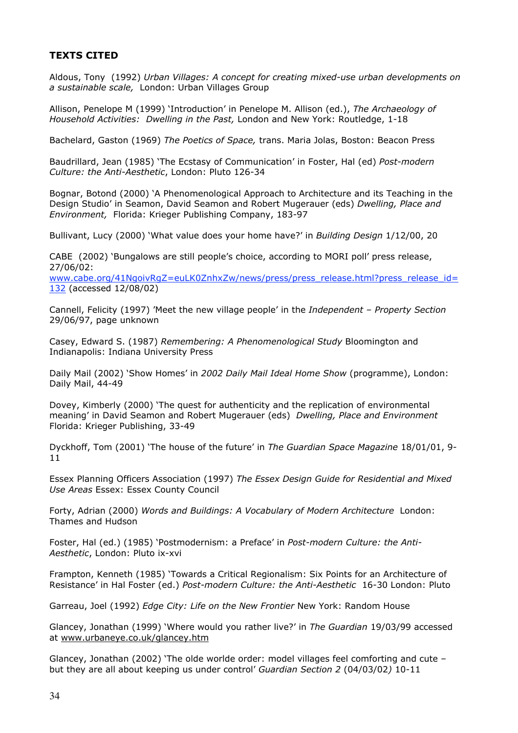## **TEXTS CITED**

Aldous, Tony (1992) *Urban Villages: A concept for creating mixed-use urban developments on a sustainable scale,* London: Urban Villages Group

Allison, Penelope M (1999) 'Introduction' in Penelope M. Allison (ed.), *The Archaeology of Household Activities: Dwelling in the Past,* London and New York: Routledge, 1-18

Bachelard, Gaston (1969) *The Poetics of Space,* trans. Maria Jolas, Boston: Beacon Press

Baudrillard, Jean (1985) 'The Ecstasy of Communication' in Foster, Hal (ed) *Post-modern Culture: the Anti-Aesthetic*, London: Pluto 126-34

Bognar, Botond (2000) 'A Phenomenological Approach to Architecture and its Teaching in the Design Studio' in Seamon, David Seamon and Robert Mugerauer (eds) *Dwelling, Place and Environment,* Florida: Krieger Publishing Company, 183-97

Bullivant, Lucy (2000) 'What value does your home have?' in *Building Design* 1/12/00, 20

CABE (2002) 'Bungalows are still people's choice, according to MORI poll' press release, 27/06/02:

www.cabe.org/41NgoivRgZ=euLK0ZnhxZw/news/press/press\_release.html?press\_release\_id= 132 (accessed 12/08/02)

Cannell, Felicity (1997) 'Meet the new village people' in the *Independent – Property Section* 29/06/97, page unknown

Casey, Edward S. (1987) *Remembering: A Phenomenological Study* Bloomington and Indianapolis: Indiana University Press

Daily Mail (2002) 'Show Homes' in *2002 Daily Mail Ideal Home Show* (programme), London: Daily Mail, 44-49

Dovey, Kimberly (2000) 'The quest for authenticity and the replication of environmental meaning' in David Seamon and Robert Mugerauer (eds) *Dwelling, Place and Environment* Florida: Krieger Publishing, 33-49

Dyckhoff, Tom (2001) 'The house of the future' in *The Guardian Space Magazine* 18/01/01, 9- 11

Essex Planning Officers Association (1997) *The Essex Design Guide for Residential and Mixed Use Areas* Essex: Essex County Council

Forty, Adrian (2000) *Words and Buildings: A Vocabulary of Modern Architecture* London: Thames and Hudson

Foster, Hal (ed.) (1985) 'Postmodernism: a Preface' in *Post-modern Culture: the Anti-Aesthetic*, London: Pluto ix-xvi

Frampton, Kenneth (1985) 'Towards a Critical Regionalism: Six Points for an Architecture of Resistance' in Hal Foster (ed.) *Post-modern Culture: the Anti-Aesthetic* 16-30 London: Pluto

Garreau, Joel (1992) *Edge City: Life on the New Frontier* New York: Random House

Glancey, Jonathan (1999) 'Where would you rather live?' in *The Guardian* 19/03/99 accessed at www.urbaneye.co.uk/glancey.htm

Glancey, Jonathan (2002) 'The olde worlde order: model villages feel comforting and cute – but they are all about keeping us under control' *Guardian Section 2* (04/03/02*)* 10-11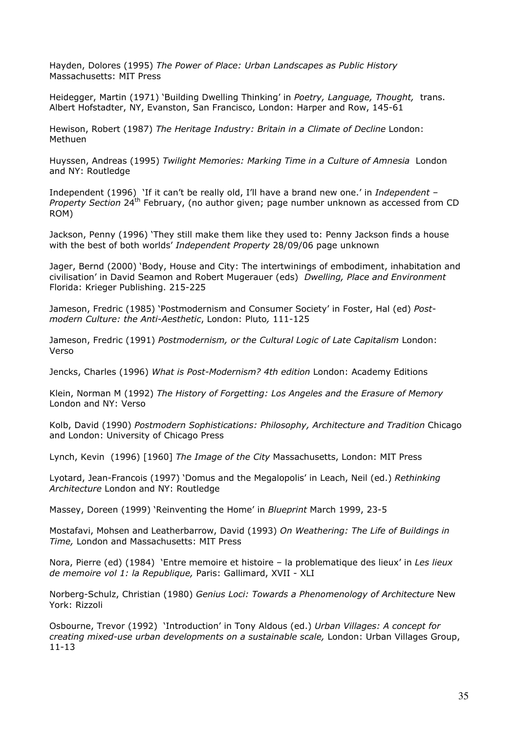Hayden, Dolores (1995) *The Power of Place: Urban Landscapes as Public History* Massachusetts: MIT Press

Heidegger, Martin (1971) 'Building Dwelling Thinking' in *Poetry, Language, Thought,* trans. Albert Hofstadter, NY, Evanston, San Francisco, London: Harper and Row, 145-61

Hewison, Robert (1987) *The Heritage Industry: Britain in a Climate of Decline* London: Methuen

Huyssen, Andreas (1995) *Twilight Memories: Marking Time in a Culture of Amnesia* London and NY: Routledge

Independent (1996) 'If it can't be really old, I'll have a brand new one.' in *Independent – Property Section* 24<sup>th</sup> February, (no author given; page number unknown as accessed from CD ROM)

Jackson, Penny (1996) 'They still make them like they used to: Penny Jackson finds a house with the best of both worlds' *Independent Property* 28/09/06 page unknown

Jager, Bernd (2000) 'Body, House and City: The intertwinings of embodiment, inhabitation and civilisation' in David Seamon and Robert Mugerauer (eds) *Dwelling, Place and Environment* Florida: Krieger Publishing. 215-225

Jameson, Fredric (1985) 'Postmodernism and Consumer Society' in Foster, Hal (ed) *Postmodern Culture: the Anti-Aesthetic*, London: Pluto*,* 111-125

Jameson, Fredric (1991) *Postmodernism, or the Cultural Logic of Late Capitalism* London: Verso

Jencks, Charles (1996) *What is Post-Modernism? 4th edition* London: Academy Editions

Klein, Norman M (1992) *The History of Forgetting: Los Angeles and the Erasure of Memory* London and NY: Verso

Kolb, David (1990) *Postmodern Sophistications: Philosophy, Architecture and Tradition* Chicago and London: University of Chicago Press

Lynch, Kevin (1996) [1960] *The Image of the City* Massachusetts, London: MIT Press

Lyotard, Jean-Francois (1997) 'Domus and the Megalopolis' in Leach, Neil (ed.) *Rethinking Architecture* London and NY: Routledge

Massey, Doreen (1999) 'Reinventing the Home' in *Blueprint* March 1999, 23-5

Mostafavi, Mohsen and Leatherbarrow, David (1993) *On Weathering: The Life of Buildings in Time,* London and Massachusetts: MIT Press

Nora, Pierre (ed) (1984) 'Entre memoire et histoire – la problematique des lieux' in *Les lieux de memoire vol 1: la Republique,* Paris: Gallimard, XVII - XLI

Norberg-Schulz, Christian (1980) *Genius Loci: Towards a Phenomenology of Architecture* New York: Rizzoli

Osbourne, Trevor (1992) 'Introduction' in Tony Aldous (ed.) *Urban Villages: A concept for creating mixed-use urban developments on a sustainable scale,* London: Urban Villages Group, 11-13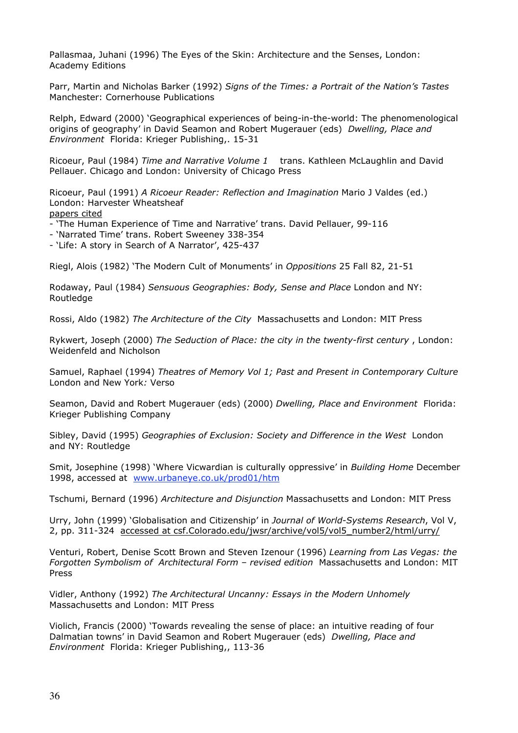Pallasmaa, Juhani (1996) The Eyes of the Skin: Architecture and the Senses, London: Academy Editions

Parr, Martin and Nicholas Barker (1992) *Signs of the Times: a Portrait of the Nation's Tastes* Manchester: Cornerhouse Publications

Relph, Edward (2000) 'Geographical experiences of being-in-the-world: The phenomenological origins of geography' in David Seamon and Robert Mugerauer (eds) *Dwelling, Place and Environment* Florida: Krieger Publishing,. 15-31

Ricoeur, Paul (1984) *Time and Narrative Volume 1* trans. Kathleen McLaughlin and David Pellauer. Chicago and London: University of Chicago Press

Ricoeur, Paul (1991) *A Ricoeur Reader: Reflection and Imagination* Mario J Valdes (ed.) London: Harvester Wheatsheaf papers cited

- 'The Human Experience of Time and Narrative' trans. David Pellauer, 99-116

- 'Narrated Time' trans. Robert Sweeney 338-354

- 'Life: A story in Search of A Narrator', 425-437

Riegl, Alois (1982) 'The Modern Cult of Monuments' in *Oppositions* 25 Fall 82, 21-51

Rodaway, Paul (1984) *Sensuous Geographies: Body, Sense and Place* London and NY: Routledge

Rossi, Aldo (1982) *The Architecture of the City* Massachusetts and London: MIT Press

Rykwert, Joseph (2000) *The Seduction of Place: the city in the twenty-first century* , London: Weidenfeld and Nicholson

Samuel, Raphael (1994) *Theatres of Memory Vol 1; Past and Present in Contemporary Culture* London and New York*:* Verso

Seamon, David and Robert Mugerauer (eds) (2000) *Dwelling, Place and Environment* Florida: Krieger Publishing Company

Sibley, David (1995) *Geographies of Exclusion: Society and Difference in the West* London and NY: Routledge

Smit, Josephine (1998) 'Where Vicwardian is culturally oppressive' in *Building Home* December 1998, accessed at www.urbaneye.co.uk/prod01/htm

Tschumi, Bernard (1996) *Architecture and Disjunction* Massachusetts and London: MIT Press

Urry, John (1999) 'Globalisation and Citizenship' in *Journal of World-Systems Research*, Vol V, 2, pp. 311-324 accessed at csf.Colorado.edu/jwsr/archive/vol5/vol5\_number2/html/urry/

Venturi, Robert, Denise Scott Brown and Steven Izenour (1996) *Learning from Las Vegas: the Forgotten Symbolism of Architectural Form – revised edition* Massachusetts and London: MIT Press

Vidler, Anthony (1992) *The Architectural Uncanny: Essays in the Modern Unhomely* Massachusetts and London: MIT Press

Violich, Francis (2000) 'Towards revealing the sense of place: an intuitive reading of four Dalmatian towns' in David Seamon and Robert Mugerauer (eds) *Dwelling, Place and Environment* Florida: Krieger Publishing,, 113-36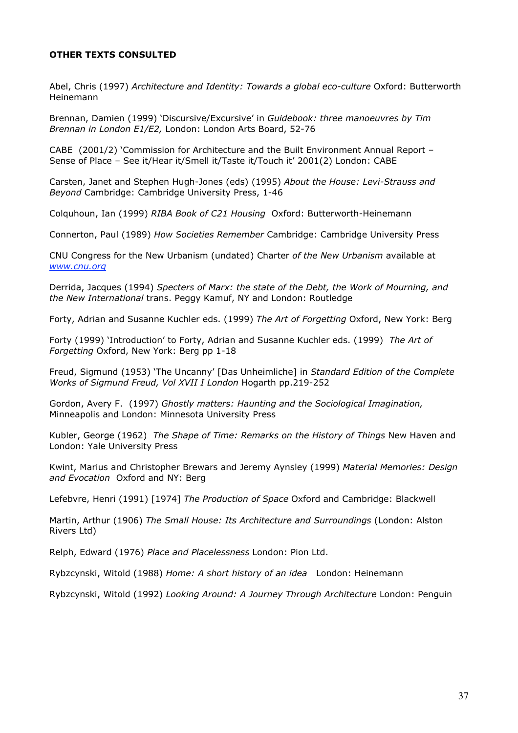### **OTHER TEXTS CONSULTED**

Abel, Chris (1997) *Architecture and Identity: Towards a global eco-culture* Oxford: Butterworth Heinemann

Brennan, Damien (1999) 'Discursive/Excursive' in *Guidebook: three manoeuvres by Tim Brennan in London E1/E2,* London: London Arts Board, 52-76

CABE (2001/2) 'Commission for Architecture and the Built Environment Annual Report – Sense of Place – See it/Hear it/Smell it/Taste it/Touch it' 2001(2) London: CABE

Carsten, Janet and Stephen Hugh-Jones (eds) (1995) *About the House: Levi-Strauss and Beyond* Cambridge: Cambridge University Press, 1-46

Colquhoun, Ian (1999) *RIBA Book of C21 Housing* Oxford: Butterworth-Heinemann

Connerton, Paul (1989) *How Societies Remember* Cambridge: Cambridge University Press

CNU Congress for the New Urbanism (undated) Charter *of the New Urbanism* available at *www.cnu.org*

Derrida, Jacques (1994) *Specters of Marx: the state of the Debt, the Work of Mourning, and the New International* trans. Peggy Kamuf, NY and London: Routledge

Forty, Adrian and Susanne Kuchler eds. (1999) *The Art of Forgetting* Oxford, New York: Berg

Forty (1999) 'Introduction' to Forty, Adrian and Susanne Kuchler eds. (1999) *The Art of Forgetting* Oxford, New York: Berg pp 1-18

Freud, Sigmund (1953) 'The Uncanny' [Das Unheimliche] in *Standard Edition of the Complete Works of Sigmund Freud, Vol XVII I London* Hogarth pp.219-252

Gordon, Avery F. (1997) *Ghostly matters: Haunting and the Sociological Imagination,* Minneapolis and London: Minnesota University Press

Kubler, George (1962) *The Shape of Time: Remarks on the History of Things* New Haven and London: Yale University Press

Kwint, Marius and Christopher Brewars and Jeremy Aynsley (1999) *Material Memories: Design and Evocation* Oxford and NY: Berg

Lefebvre, Henri (1991) [1974] *The Production of Space* Oxford and Cambridge: Blackwell

Martin, Arthur (1906) *The Small House: Its Architecture and Surroundings* (London: Alston Rivers Ltd)

Relph, Edward (1976) *Place and Placelessness* London: Pion Ltd.

Rybzcynski, Witold (1988) *Home: A short history of an idea* London: Heinemann

Rybzcynski, Witold (1992) *Looking Around: A Journey Through Architecture* London: Penguin